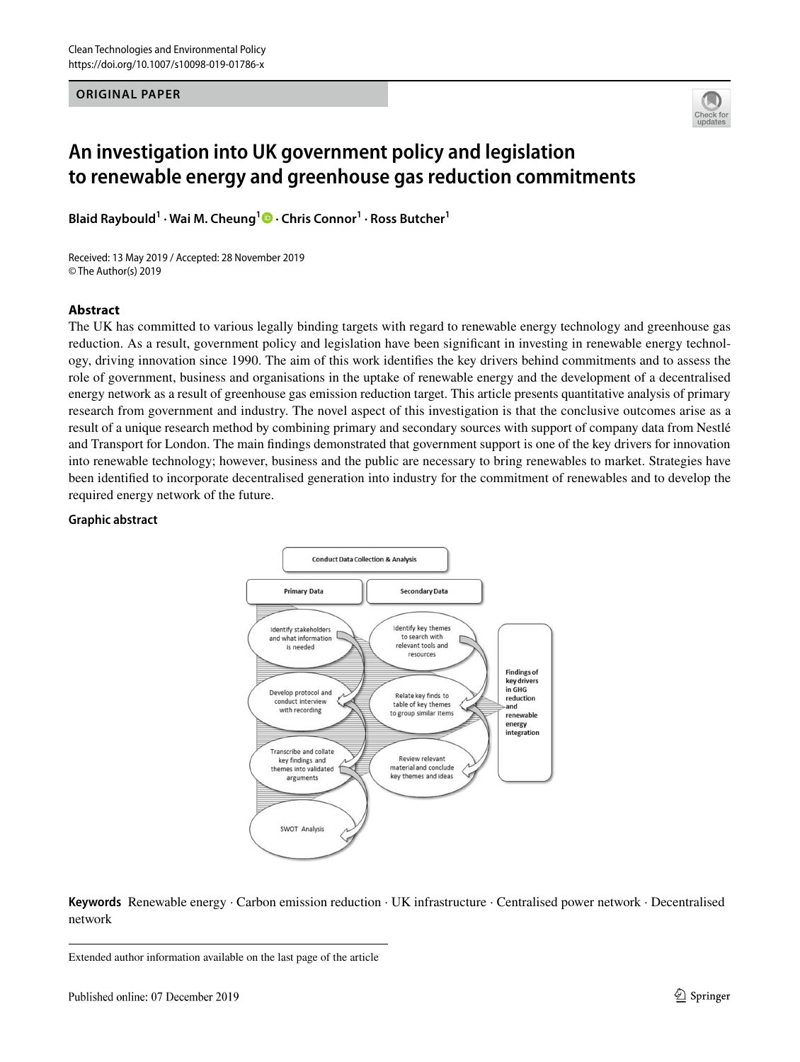#### **ORIGINAL PAPER**



# **An investigation into UK government policy and legislation to renewable energy and greenhouse gas reduction commitments**

**Blaid Raybould1 · Wai M. Cheung1 · Chris Connor1 · Ross Butcher1**

Received: 13 May 2019 / Accepted: 28 November 2019 © The Author(s) 2019

## **Abstract**

The UK has committed to various legally binding targets with regard to renewable energy technology and greenhouse gas reduction. As a result, government policy and legislation have been signifcant in investing in renewable energy technology, driving innovation since 1990. The aim of this work identifes the key drivers behind commitments and to assess the role of government, business and organisations in the uptake of renewable energy and the development of a decentralised energy network as a result of greenhouse gas emission reduction target. This article presents quantitative analysis of primary research from government and industry. The novel aspect of this investigation is that the conclusive outcomes arise as a result of a unique research method by combining primary and secondary sources with support of company data from Nestlé and Transport for London. The main fndings demonstrated that government support is one of the key drivers for innovation into renewable technology; however, business and the public are necessary to bring renewables to market. Strategies have been identifed to incorporate decentralised generation into industry for the commitment of renewables and to develop the required energy network of the future.

#### **Graphic abstract**



**Keywords** Renewable energy · Carbon emission reduction · UK infrastructure · Centralised power network · Decentralised network

Extended author information available on the last page of the article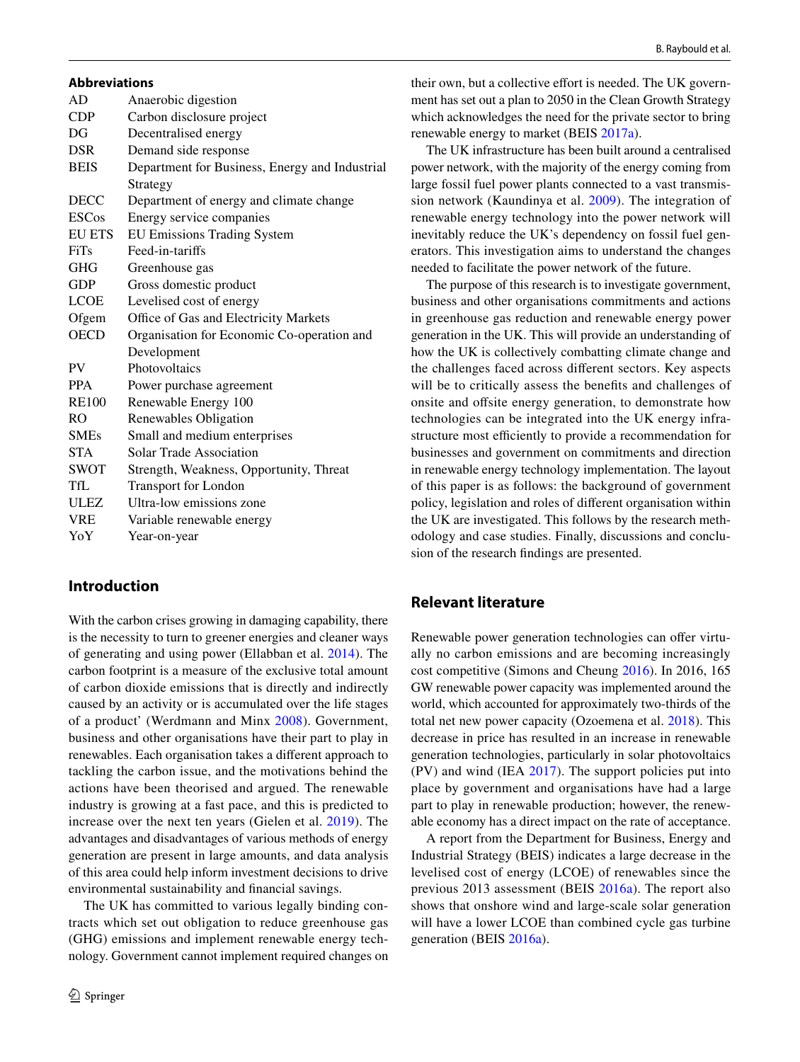#### **Abbreviations**

| AD             | Anaerobic digestion                            |
|----------------|------------------------------------------------|
| <b>CDP</b>     | Carbon disclosure project                      |
| DG             | Decentralised energy                           |
| <b>DSR</b>     | Demand side response                           |
| <b>BEIS</b>    | Department for Business, Energy and Industrial |
|                | Strategy                                       |
| <b>DECC</b>    | Department of energy and climate change        |
| <b>ESCos</b>   | Energy service companies                       |
| <b>EU ETS</b>  | EU Emissions Trading System                    |
| <b>FiTs</b>    | Feed-in-tariffs                                |
| GHG            | Greenhouse gas                                 |
| <b>GDP</b>     | Gross domestic product                         |
| <b>LCOE</b>    | Levelised cost of energy                       |
| Ofgem          | Office of Gas and Electricity Markets          |
| <b>OECD</b>    | Organisation for Economic Co-operation and     |
|                | Development                                    |
| <b>PV</b>      | Photovoltaics                                  |
| <b>PPA</b>     | Power purchase agreement                       |
| <b>RE100</b>   | Renewable Energy 100                           |
| R <sub>O</sub> | Renewables Obligation                          |
| <b>SMEs</b>    | Small and medium enterprises                   |
| <b>STA</b>     | Solar Trade Association                        |
| <b>SWOT</b>    | Strength, Weakness, Opportunity, Threat        |
| TfL            | <b>Transport for London</b>                    |
| <b>ULEZ</b>    | Ultra-low emissions zone                       |
| <b>VRE</b>     | Variable renewable energy                      |
| YoY            | Year-on-year                                   |

# **Introduction**

With the carbon crises growing in damaging capability, there is the necessity to turn to greener energies and cleaner ways of generating and using power (Ellabban et al. [2014\)](#page-15-0). The carbon footprint is a measure of the exclusive total amount of carbon dioxide emissions that is directly and indirectly caused by an activity or is accumulated over the life stages of a product' (Werdmann and Minx [2008\)](#page-16-0). Government, business and other organisations have their part to play in renewables. Each organisation takes a diferent approach to tackling the carbon issue, and the motivations behind the actions have been theorised and argued. The renewable industry is growing at a fast pace, and this is predicted to increase over the next ten years (Gielen et al. [2019](#page-15-1)). The advantages and disadvantages of various methods of energy generation are present in large amounts, and data analysis of this area could help inform investment decisions to drive environmental sustainability and fnancial savings.

The UK has committed to various legally binding contracts which set out obligation to reduce greenhouse gas (GHG) emissions and implement renewable energy technology. Government cannot implement required changes on their own, but a collective effort is needed. The UK government has set out a plan to 2050 in the Clean Growth Strategy which acknowledges the need for the private sector to bring renewable energy to market (BEIS [2017a](#page-14-0)).

The UK infrastructure has been built around a centralised power network, with the majority of the energy coming from large fossil fuel power plants connected to a vast transmission network (Kaundinya et al. [2009](#page-15-2)). The integration of renewable energy technology into the power network will inevitably reduce the UK's dependency on fossil fuel generators. This investigation aims to understand the changes needed to facilitate the power network of the future.

The purpose of this research is to investigate government, business and other organisations commitments and actions in greenhouse gas reduction and renewable energy power generation in the UK. This will provide an understanding of how the UK is collectively combatting climate change and the challenges faced across diferent sectors. Key aspects will be to critically assess the benefits and challenges of onsite and offsite energy generation, to demonstrate how technologies can be integrated into the UK energy infrastructure most efficiently to provide a recommendation for businesses and government on commitments and direction in renewable energy technology implementation. The layout of this paper is as follows: the background of government policy, legislation and roles of diferent organisation within the UK are investigated. This follows by the research methodology and case studies. Finally, discussions and conclusion of the research fndings are presented.

## **Relevant literature**

Renewable power generation technologies can offer virtually no carbon emissions and are becoming increasingly cost competitive (Simons and Cheung [2016\)](#page-15-3). In 2016, 165 GW renewable power capacity was implemented around the world, which accounted for approximately two-thirds of the total net new power capacity (Ozoemena et al. [2018\)](#page-15-4). This decrease in price has resulted in an increase in renewable generation technologies, particularly in solar photovoltaics (PV) and wind (IEA [2017\)](#page-15-5). The support policies put into place by government and organisations have had a large part to play in renewable production; however, the renewable economy has a direct impact on the rate of acceptance.

A report from the Department for Business, Energy and Industrial Strategy (BEIS) indicates a large decrease in the levelised cost of energy (LCOE) of renewables since the previous 2013 assessment (BEIS [2016a](#page-14-1)). The report also shows that onshore wind and large-scale solar generation will have a lower LCOE than combined cycle gas turbine generation (BEIS [2016a](#page-14-1)).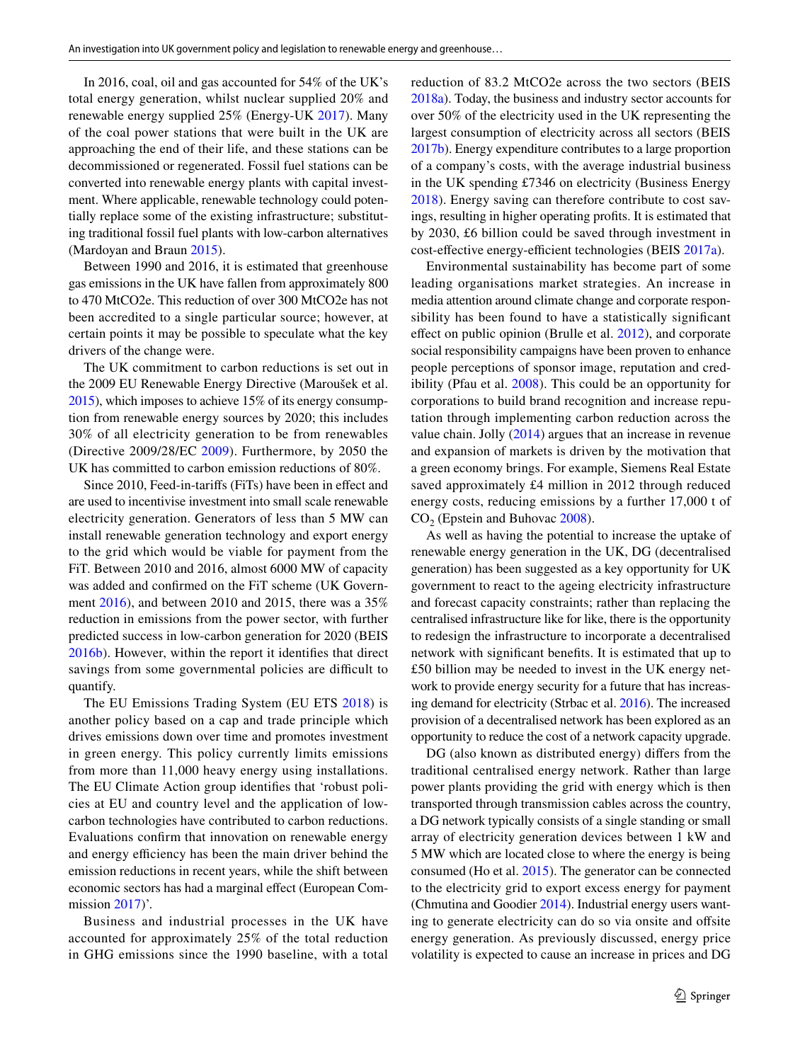In 2016, coal, oil and gas accounted for 54% of the UK's total energy generation, whilst nuclear supplied 20% and renewable energy supplied 25% (Energy-UK [2017](#page-15-6)). Many of the coal power stations that were built in the UK are approaching the end of their life, and these stations can be decommissioned or regenerated. Fossil fuel stations can be converted into renewable energy plants with capital investment. Where applicable, renewable technology could potentially replace some of the existing infrastructure; substituting traditional fossil fuel plants with low-carbon alternatives (Mardoyan and Braun [2015](#page-15-7)).

Between 1990 and 2016, it is estimated that greenhouse gas emissions in the UK have fallen from approximately 800 to 470 MtCO2e. This reduction of over 300 MtCO2e has not been accredited to a single particular source; however, at certain points it may be possible to speculate what the key drivers of the change were.

The UK commitment to carbon reductions is set out in the 2009 EU Renewable Energy Directive (Maroušek et al. [2015\)](#page-15-8), which imposes to achieve 15% of its energy consumption from renewable energy sources by 2020; this includes 30% of all electricity generation to be from renewables (Directive 2009/28/EC [2009\)](#page-15-9). Furthermore, by 2050 the UK has committed to carbon emission reductions of 80%.

Since 2010, Feed-in-tarifs (FiTs) have been in efect and are used to incentivise investment into small scale renewable electricity generation. Generators of less than 5 MW can install renewable generation technology and export energy to the grid which would be viable for payment from the FiT. Between 2010 and 2016, almost 6000 MW of capacity was added and confrmed on the FiT scheme (UK Government [2016](#page-16-1)), and between 2010 and 2015, there was a 35% reduction in emissions from the power sector, with further predicted success in low-carbon generation for 2020 (BEIS [2016b](#page-14-2)). However, within the report it identifes that direct savings from some governmental policies are difficult to quantify.

The EU Emissions Trading System (EU ETS [2018\)](#page-15-10) is another policy based on a cap and trade principle which drives emissions down over time and promotes investment in green energy. This policy currently limits emissions from more than 11,000 heavy energy using installations. The EU Climate Action group identifes that 'robust policies at EU and country level and the application of lowcarbon technologies have contributed to carbon reductions. Evaluations confrm that innovation on renewable energy and energy efficiency has been the main driver behind the emission reductions in recent years, while the shift between economic sectors has had a marginal efect (European Com-mission [2017](#page-15-11))'.

Business and industrial processes in the UK have accounted for approximately 25% of the total reduction in GHG emissions since the 1990 baseline, with a total reduction of 83.2 MtCO2e across the two sectors (BEIS [2018a\)](#page-14-3). Today, the business and industry sector accounts for over 50% of the electricity used in the UK representing the largest consumption of electricity across all sectors (BEIS [2017b\)](#page-14-4). Energy expenditure contributes to a large proportion of a company's costs, with the average industrial business in the UK spending £7346 on electricity (Business Energy [2018\)](#page-14-5). Energy saving can therefore contribute to cost savings, resulting in higher operating profts. It is estimated that by 2030, £6 billion could be saved through investment in cost-effective energy-efficient technologies (BEIS [2017a\)](#page-14-0).

Environmental sustainability has become part of some leading organisations market strategies. An increase in media attention around climate change and corporate responsibility has been found to have a statistically signifcant efect on public opinion (Brulle et al. [2012\)](#page-14-6), and corporate social responsibility campaigns have been proven to enhance people perceptions of sponsor image, reputation and credibility (Pfau et al. [2008\)](#page-15-12). This could be an opportunity for corporations to build brand recognition and increase reputation through implementing carbon reduction across the value chain. Jolly [\(2014](#page-15-13)) argues that an increase in revenue and expansion of markets is driven by the motivation that a green economy brings. For example, Siemens Real Estate saved approximately £4 million in 2012 through reduced energy costs, reducing emissions by a further 17,000 t of  $CO<sub>2</sub>$  (Epstein and Buhovac [2008](#page-15-14)).

As well as having the potential to increase the uptake of renewable energy generation in the UK, DG (decentralised generation) has been suggested as a key opportunity for UK government to react to the ageing electricity infrastructure and forecast capacity constraints; rather than replacing the centralised infrastructure like for like, there is the opportunity to redesign the infrastructure to incorporate a decentralised network with signifcant benefts. It is estimated that up to £50 billion may be needed to invest in the UK energy network to provide energy security for a future that has increasing demand for electricity (Strbac et al. [2016](#page-15-15)). The increased provision of a decentralised network has been explored as an opportunity to reduce the cost of a network capacity upgrade.

DG (also known as distributed energy) difers from the traditional centralised energy network. Rather than large power plants providing the grid with energy which is then transported through transmission cables across the country, a DG network typically consists of a single standing or small array of electricity generation devices between 1 kW and 5 MW which are located close to where the energy is being consumed (Ho et al. [2015](#page-15-16)). The generator can be connected to the electricity grid to export excess energy for payment (Chmutina and Goodier [2014\)](#page-14-7). Industrial energy users wanting to generate electricity can do so via onsite and offsite energy generation. As previously discussed, energy price volatility is expected to cause an increase in prices and DG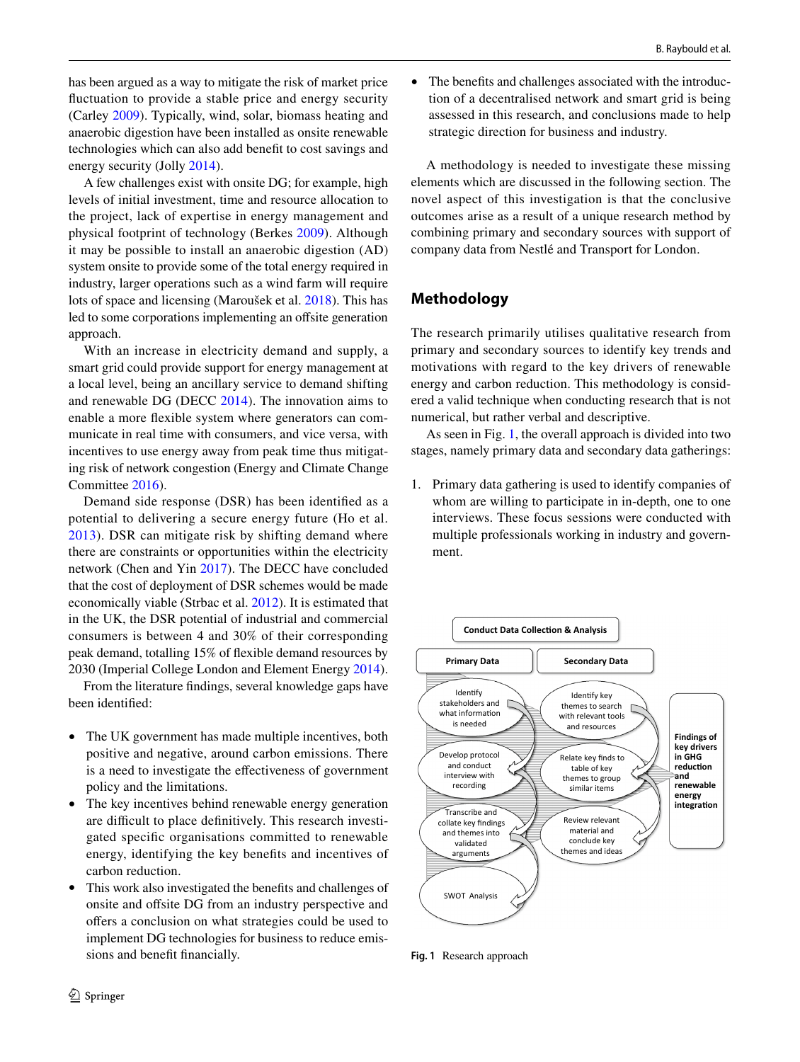has been argued as a way to mitigate the risk of market price fuctuation to provide a stable price and energy security (Carley [2009](#page-14-8)). Typically, wind, solar, biomass heating and anaerobic digestion have been installed as onsite renewable technologies which can also add beneft to cost savings and energy security (Jolly [2014\)](#page-15-13).

A few challenges exist with onsite DG; for example, high levels of initial investment, time and resource allocation to the project, lack of expertise in energy management and physical footprint of technology (Berkes [2009](#page-14-9)). Although it may be possible to install an anaerobic digestion (AD) system onsite to provide some of the total energy required in industry, larger operations such as a wind farm will require lots of space and licensing (Maroušek et al. [2018](#page-15-17)). This has led to some corporations implementing an offsite generation approach.

With an increase in electricity demand and supply, a smart grid could provide support for energy management at a local level, being an ancillary service to demand shifting and renewable DG (DECC [2014\)](#page-15-18). The innovation aims to enable a more fexible system where generators can communicate in real time with consumers, and vice versa, with incentives to use energy away from peak time thus mitigating risk of network congestion (Energy and Climate Change Committee [2016\)](#page-15-19).

Demand side response (DSR) has been identifed as a potential to delivering a secure energy future (Ho et al. [2013\)](#page-15-20). DSR can mitigate risk by shifting demand where there are constraints or opportunities within the electricity network (Chen and Yin [2017](#page-14-10)). The DECC have concluded that the cost of deployment of DSR schemes would be made economically viable (Strbac et al. [2012](#page-15-21)). It is estimated that in the UK, the DSR potential of industrial and commercial consumers is between 4 and 30% of their corresponding peak demand, totalling 15% of fexible demand resources by 2030 (Imperial College London and Element Energy [2014](#page-15-22)).

From the literature fndings, several knowledge gaps have been identifed:

- The UK government has made multiple incentives, both positive and negative, around carbon emissions. There is a need to investigate the efectiveness of government policy and the limitations.
- The key incentives behind renewable energy generation are difficult to place definitively. This research investigated specifc organisations committed to renewable energy, identifying the key benefts and incentives of carbon reduction.
- This work also investigated the benefts and challenges of onsite and offsite DG from an industry perspective and offers a conclusion on what strategies could be used to implement DG technologies for business to reduce emissions and beneft fnancially.

• The benefits and challenges associated with the introduction of a decentralised network and smart grid is being assessed in this research, and conclusions made to help strategic direction for business and industry.

A methodology is needed to investigate these missing elements which are discussed in the following section. The novel aspect of this investigation is that the conclusive outcomes arise as a result of a unique research method by combining primary and secondary sources with support of company data from Nestlé and Transport for London.

# **Methodology**

The research primarily utilises qualitative research from primary and secondary sources to identify key trends and motivations with regard to the key drivers of renewable energy and carbon reduction. This methodology is considered a valid technique when conducting research that is not numerical, but rather verbal and descriptive.

As seen in Fig. [1,](#page-3-0) the overall approach is divided into two stages, namely primary data and secondary data gatherings:

1. Primary data gathering is used to identify companies of whom are willing to participate in in-depth, one to one interviews. These focus sessions were conducted with multiple professionals working in industry and government.



<span id="page-3-0"></span>**Fig. 1** Research approach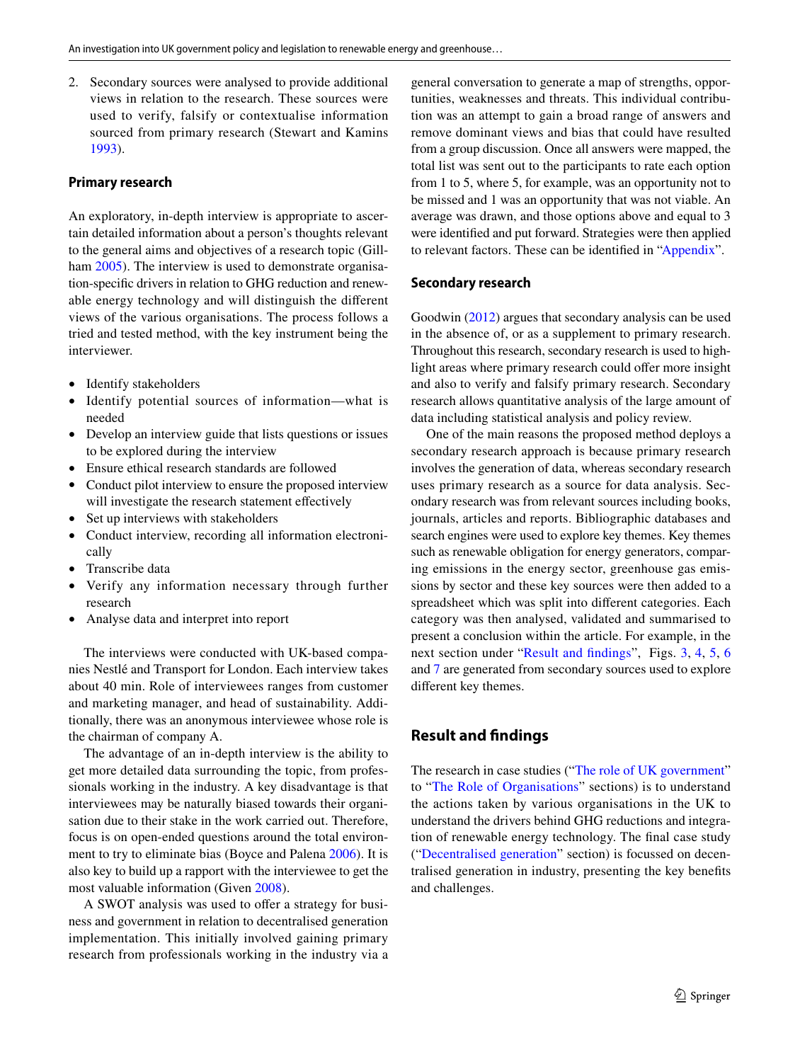2. Secondary sources were analysed to provide additional views in relation to the research. These sources were used to verify, falsify or contextualise information sourced from primary research (Stewart and Kamins [1993](#page-15-23)).

#### **Primary research**

An exploratory, in-depth interview is appropriate to ascertain detailed information about a person's thoughts relevant to the general aims and objectives of a research topic (Gill-ham [2005](#page-15-24)). The interview is used to demonstrate organisation-specifc drivers in relation to GHG reduction and renewable energy technology and will distinguish the diferent views of the various organisations. The process follows a tried and tested method, with the key instrument being the interviewer.

- Identify stakeholders
- Identify potential sources of information—what is needed
- Develop an interview guide that lists questions or issues to be explored during the interview
- Ensure ethical research standards are followed
- Conduct pilot interview to ensure the proposed interview will investigate the research statement effectively
- Set up interviews with stakeholders
- Conduct interview, recording all information electronically
- Transcribe data
- Verify any information necessary through further research
- Analyse data and interpret into report

The interviews were conducted with UK-based companies Nestlé and Transport for London. Each interview takes about 40 min. Role of interviewees ranges from customer and marketing manager, and head of sustainability. Additionally, there was an anonymous interviewee whose role is the chairman of company A.

The advantage of an in-depth interview is the ability to get more detailed data surrounding the topic, from professionals working in the industry. A key disadvantage is that interviewees may be naturally biased towards their organisation due to their stake in the work carried out. Therefore, focus is on open-ended questions around the total environment to try to eliminate bias (Boyce and Palena [2006](#page-14-11)). It is also key to build up a rapport with the interviewee to get the most valuable information (Given [2008](#page-15-25)).

A SWOT analysis was used to offer a strategy for business and government in relation to decentralised generation implementation. This initially involved gaining primary research from professionals working in the industry via a general conversation to generate a map of strengths, opportunities, weaknesses and threats. This individual contribution was an attempt to gain a broad range of answers and remove dominant views and bias that could have resulted from a group discussion. Once all answers were mapped, the total list was sent out to the participants to rate each option from 1 to 5, where 5, for example, was an opportunity not to be missed and 1 was an opportunity that was not viable. An average was drawn, and those options above and equal to 3 were identifed and put forward. Strategies were then applied to relevant factors. These can be identifed in ["Appendix"](#page-12-0).

## **Secondary research**

Goodwin [\(2012](#page-15-26)) argues that secondary analysis can be used in the absence of, or as a supplement to primary research. Throughout this research, secondary research is used to highlight areas where primary research could offer more insight and also to verify and falsify primary research. Secondary research allows quantitative analysis of the large amount of data including statistical analysis and policy review.

One of the main reasons the proposed method deploys a secondary research approach is because primary research involves the generation of data, whereas secondary research uses primary research as a source for data analysis. Secondary research was from relevant sources including books, journals, articles and reports. Bibliographic databases and search engines were used to explore key themes. Key themes such as renewable obligation for energy generators, comparing emissions in the energy sector, greenhouse gas emissions by sector and these key sources were then added to a spreadsheet which was split into diferent categories. Each category was then analysed, validated and summarised to present a conclusion within the article. For example, in the next section under "[Result and fndings](#page-4-0)", Figs. [3](#page-5-0), [4,](#page-6-0) [5,](#page-6-1) [6](#page-6-2) and [7](#page-7-0) are generated from secondary sources used to explore diferent key themes.

# <span id="page-4-0"></span>**Result and fndings**

The research in case studies (["The role of UK government"](#page-5-1) to "[The Role of Organisations](#page-8-0)" sections) is to understand the actions taken by various organisations in the UK to understand the drivers behind GHG reductions and integration of renewable energy technology. The fnal case study ("[Decentralised generation"](#page-8-1) section) is focussed on decentralised generation in industry, presenting the key benefts and challenges.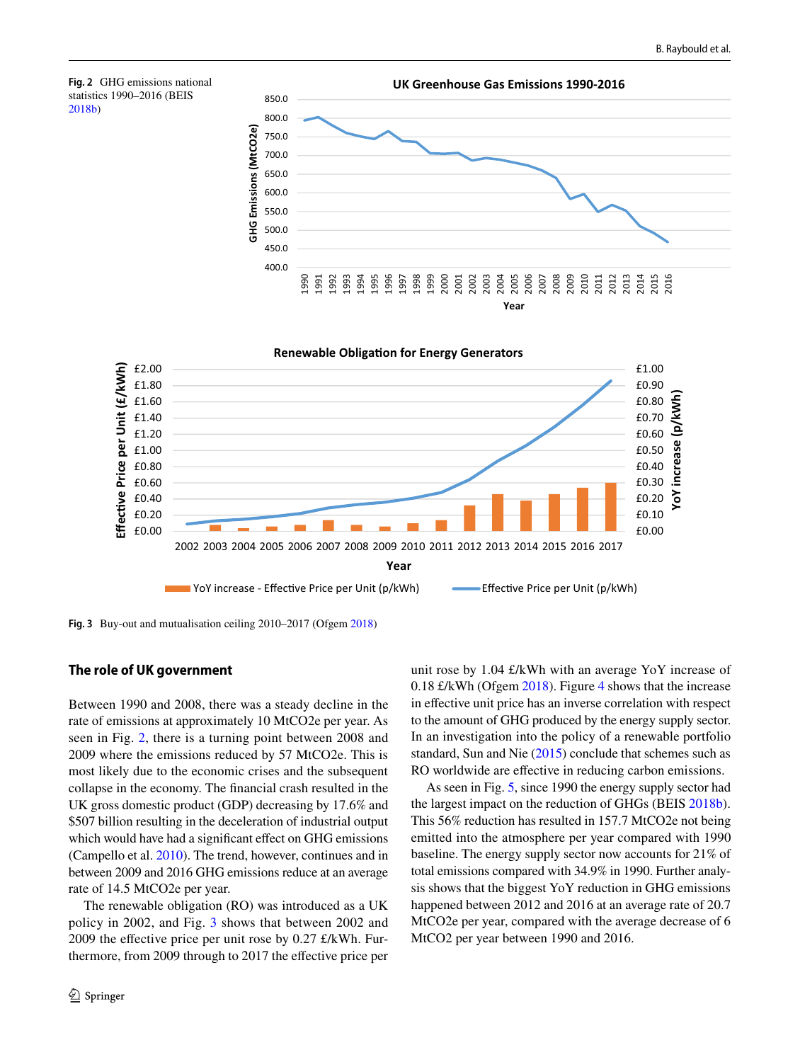<span id="page-5-2"></span>



<span id="page-5-0"></span>**Fig. 3** Buy-out and mutualisation ceiling 2010–2017 (Ofgem [2018](#page-15-27))

#### <span id="page-5-1"></span>**The role of UK government**

Between 1990 and 2008, there was a steady decline in the rate of emissions at approximately 10 MtCO2e per year. As seen in Fig. [2](#page-5-2), there is a turning point between 2008 and 2009 where the emissions reduced by 57 MtCO2e. This is most likely due to the economic crises and the subsequent collapse in the economy. The fnancial crash resulted in the UK gross domestic product (GDP) decreasing by 17.6% and \$507 billion resulting in the deceleration of industrial output which would have had a significant effect on GHG emissions (Campello et al. [2010](#page-14-12)). The trend, however, continues and in between 2009 and 2016 GHG emissions reduce at an average rate of 14.5 MtCO2e per year.

The renewable obligation (RO) was introduced as a UK policy in 2002, and Fig. [3](#page-5-0) shows that between 2002 and 2009 the effective price per unit rose by  $0.27 \text{ f/kWh}$ . Furthermore, from 2009 through to 2017 the efective price per unit rose by 1.04 £/kWh with an average YoY increase of 0.18 £/kWh (Ofgem [2018\)](#page-15-27). Figure [4](#page-6-0) shows that the increase in efective unit price has an inverse correlation with respect to the amount of GHG produced by the energy supply sector. In an investigation into the policy of a renewable portfolio standard, Sun and Nie ([2015\)](#page-15-28) conclude that schemes such as RO worldwide are efective in reducing carbon emissions.

As seen in Fig. [5](#page-6-1), since 1990 the energy supply sector had the largest impact on the reduction of GHGs (BEIS [2018b](#page-14-13)). This 56% reduction has resulted in 157.7 MtCO2e not being emitted into the atmosphere per year compared with 1990 baseline. The energy supply sector now accounts for 21% of total emissions compared with 34.9% in 1990. Further analysis shows that the biggest YoY reduction in GHG emissions happened between 2012 and 2016 at an average rate of 20.7 MtCO2e per year, compared with the average decrease of 6 MtCO2 per year between 1990 and 2016.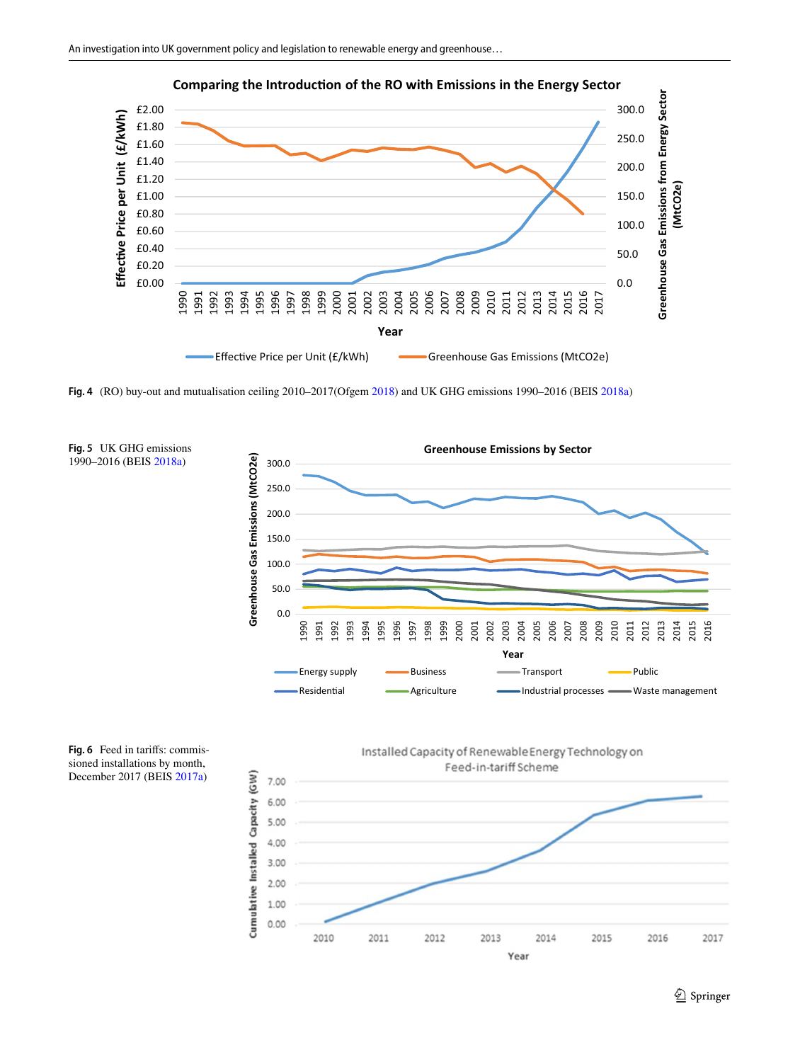

**Comparing the Introduction of the RO with Emissions in the Energy Sector** 

<span id="page-6-0"></span>**Fig. 4** (RO) buy-out and mutualisation ceiling 2010–2017(Ofgem [2018\)](#page-15-27) and UK GHG emissions 1990–2016 (BEIS [2018a](#page-14-3))

<span id="page-6-1"></span>

<span id="page-6-2"></span>**Fig. 6** Feed in tarifs: commissioned installations by month, December 2017 (BEIS [2017a](#page-14-0))

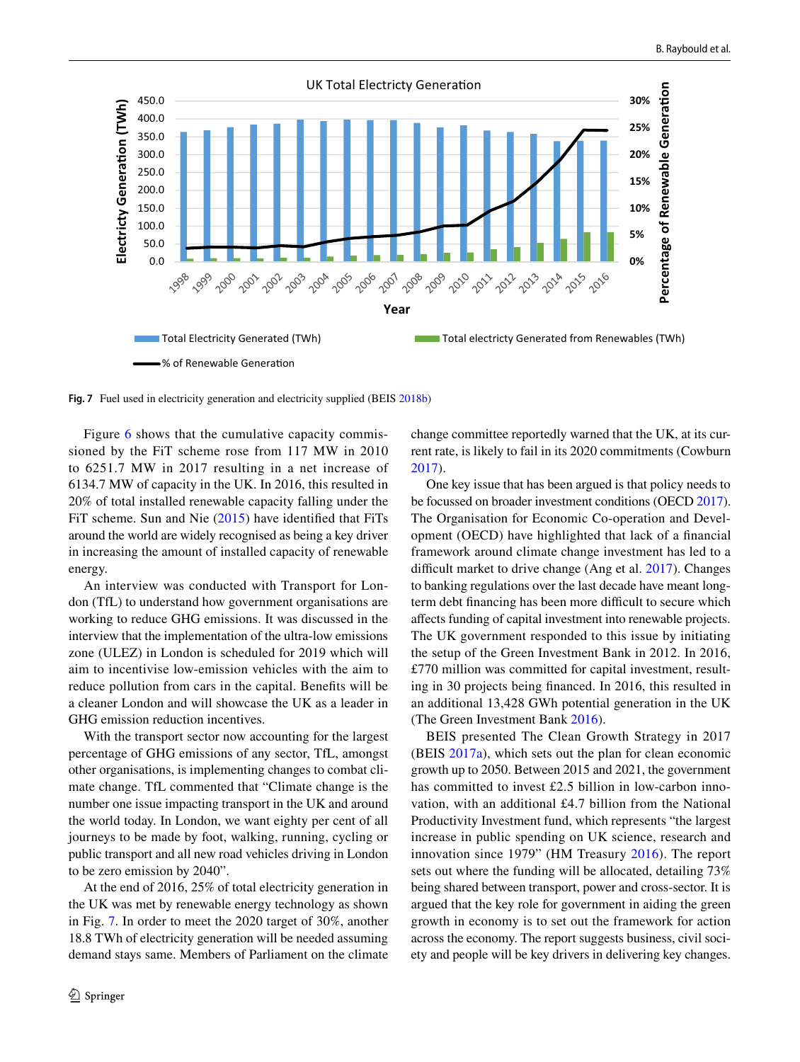

<span id="page-7-0"></span>**Fig. 7** Fuel used in electricity generation and electricity supplied (BEIS [2018b](#page-14-13))

Figure [6](#page-6-2) shows that the cumulative capacity commissioned by the FiT scheme rose from 117 MW in 2010 to 6251.7 MW in 2017 resulting in a net increase of 6134.7 MW of capacity in the UK. In 2016, this resulted in 20% of total installed renewable capacity falling under the FiT scheme. Sun and Nie [\(2015\)](#page-15-28) have identifed that FiTs around the world are widely recognised as being a key driver in increasing the amount of installed capacity of renewable energy.

An interview was conducted with Transport for London (TfL) to understand how government organisations are working to reduce GHG emissions. It was discussed in the interview that the implementation of the ultra-low emissions zone (ULEZ) in London is scheduled for 2019 which will aim to incentivise low-emission vehicles with the aim to reduce pollution from cars in the capital. Benefts will be a cleaner London and will showcase the UK as a leader in GHG emission reduction incentives.

With the transport sector now accounting for the largest percentage of GHG emissions of any sector, TfL, amongst other organisations, is implementing changes to combat climate change. TfL commented that "Climate change is the number one issue impacting transport in the UK and around the world today. In London, we want eighty per cent of all journeys to be made by foot, walking, running, cycling or public transport and all new road vehicles driving in London to be zero emission by 2040".

At the end of 2016, 25% of total electricity generation in the UK was met by renewable energy technology as shown in Fig. [7.](#page-7-0) In order to meet the 2020 target of 30%, another 18.8 TWh of electricity generation will be needed assuming demand stays same. Members of Parliament on the climate change committee reportedly warned that the UK, at its current rate, is likely to fail in its 2020 commitments (Cowburn [2017](#page-15-29)).

One key issue that has been argued is that policy needs to be focussed on broader investment conditions (OECD [2017](#page-15-30)). The Organisation for Economic Co-operation and Development (OECD) have highlighted that lack of a fnancial framework around climate change investment has led to a difficult market to drive change (Ang et al. [2017](#page-14-14)). Changes to banking regulations over the last decade have meant longterm debt financing has been more difficult to secure which afects funding of capital investment into renewable projects. The UK government responded to this issue by initiating the setup of the Green Investment Bank in 2012. In 2016, £770 million was committed for capital investment, resulting in 30 projects being fnanced. In 2016, this resulted in an additional 13,428 GWh potential generation in the UK (The Green Investment Bank [2016](#page-16-2)).

BEIS presented The Clean Growth Strategy in 2017 (BEIS [2017a](#page-14-0)), which sets out the plan for clean economic growth up to 2050. Between 2015 and 2021, the government has committed to invest £2.5 billion in low-carbon innovation, with an additional £4.7 billion from the National Productivity Investment fund, which represents "the largest increase in public spending on UK science, research and innovation since 1979" (HM Treasury [2016\)](#page-15-31). The report sets out where the funding will be allocated, detailing 73% being shared between transport, power and cross-sector. It is argued that the key role for government in aiding the green growth in economy is to set out the framework for action across the economy. The report suggests business, civil society and people will be key drivers in delivering key changes.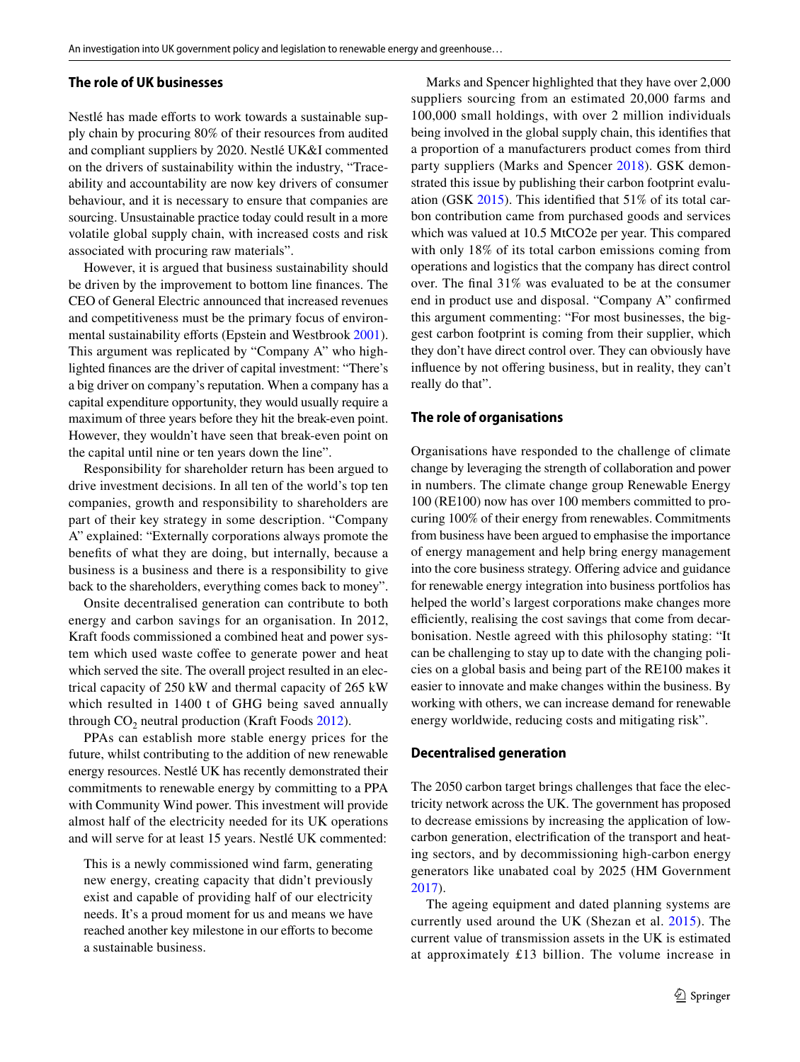## <span id="page-8-2"></span>**The role of UK businesses**

Nestlé has made efforts to work towards a sustainable supply chain by procuring 80% of their resources from audited and compliant suppliers by 2020. Nestlé UK&I commented on the drivers of sustainability within the industry, "Traceability and accountability are now key drivers of consumer behaviour, and it is necessary to ensure that companies are sourcing. Unsustainable practice today could result in a more volatile global supply chain, with increased costs and risk associated with procuring raw materials".

However, it is argued that business sustainability should be driven by the improvement to bottom line fnances. The CEO of General Electric announced that increased revenues and competitiveness must be the primary focus of environ-mental sustainability efforts (Epstein and Westbrook [2001](#page-15-32)). This argument was replicated by "Company A" who highlighted fnances are the driver of capital investment: "There's a big driver on company's reputation. When a company has a capital expenditure opportunity, they would usually require a maximum of three years before they hit the break-even point. However, they wouldn't have seen that break-even point on the capital until nine or ten years down the line".

Responsibility for shareholder return has been argued to drive investment decisions. In all ten of the world's top ten companies, growth and responsibility to shareholders are part of their key strategy in some description. "Company A" explained: "Externally corporations always promote the benefts of what they are doing, but internally, because a business is a business and there is a responsibility to give back to the shareholders, everything comes back to money".

Onsite decentralised generation can contribute to both energy and carbon savings for an organisation. In 2012, Kraft foods commissioned a combined heat and power system which used waste coffee to generate power and heat which served the site. The overall project resulted in an electrical capacity of 250 kW and thermal capacity of 265 kW which resulted in 1400 t of GHG being saved annually through  $CO<sub>2</sub>$  neutral production (Kraft Foods [2012](#page-15-33)).

PPAs can establish more stable energy prices for the future, whilst contributing to the addition of new renewable energy resources. Nestlé UK has recently demonstrated their commitments to renewable energy by committing to a PPA with Community Wind power. This investment will provide almost half of the electricity needed for its UK operations and will serve for at least 15 years. Nestlé UK commented:

This is a newly commissioned wind farm, generating new energy, creating capacity that didn't previously exist and capable of providing half of our electricity needs. It's a proud moment for us and means we have reached another key milestone in our efforts to become a sustainable business.

Marks and Spencer highlighted that they have over 2,000 suppliers sourcing from an estimated 20,000 farms and 100,000 small holdings, with over 2 million individuals being involved in the global supply chain, this identifes that a proportion of a manufacturers product comes from third party suppliers (Marks and Spencer [2018\)](#page-15-34). GSK demonstrated this issue by publishing their carbon footprint evaluation (GSK [2015\)](#page-15-35). This identifed that 51% of its total carbon contribution came from purchased goods and services which was valued at 10.5 MtCO2e per year. This compared with only 18% of its total carbon emissions coming from operations and logistics that the company has direct control over. The fnal 31% was evaluated to be at the consumer end in product use and disposal. "Company A" confrmed this argument commenting: "For most businesses, the biggest carbon footprint is coming from their supplier, which they don't have direct control over. They can obviously have influence by not offering business, but in reality, they can't really do that".

#### <span id="page-8-0"></span>**The role of organisations**

Organisations have responded to the challenge of climate change by leveraging the strength of collaboration and power in numbers. The climate change group Renewable Energy 100 (RE100) now has over 100 members committed to procuring 100% of their energy from renewables. Commitments from business have been argued to emphasise the importance of energy management and help bring energy management into the core business strategy. Offering advice and guidance for renewable energy integration into business portfolios has helped the world's largest corporations make changes more efficiently, realising the cost savings that come from decarbonisation. Nestle agreed with this philosophy stating: "It can be challenging to stay up to date with the changing policies on a global basis and being part of the RE100 makes it easier to innovate and make changes within the business. By working with others, we can increase demand for renewable energy worldwide, reducing costs and mitigating risk".

#### <span id="page-8-1"></span>**Decentralised generation**

The 2050 carbon target brings challenges that face the electricity network across the UK. The government has proposed to decrease emissions by increasing the application of lowcarbon generation, electrifcation of the transport and heating sectors, and by decommissioning high-carbon energy generators like unabated coal by 2025 (HM Government [2017](#page-15-36)).

The ageing equipment and dated planning systems are currently used around the UK (Shezan et al. [2015\)](#page-15-37). The current value of transmission assets in the UK is estimated at approximately £13 billion. The volume increase in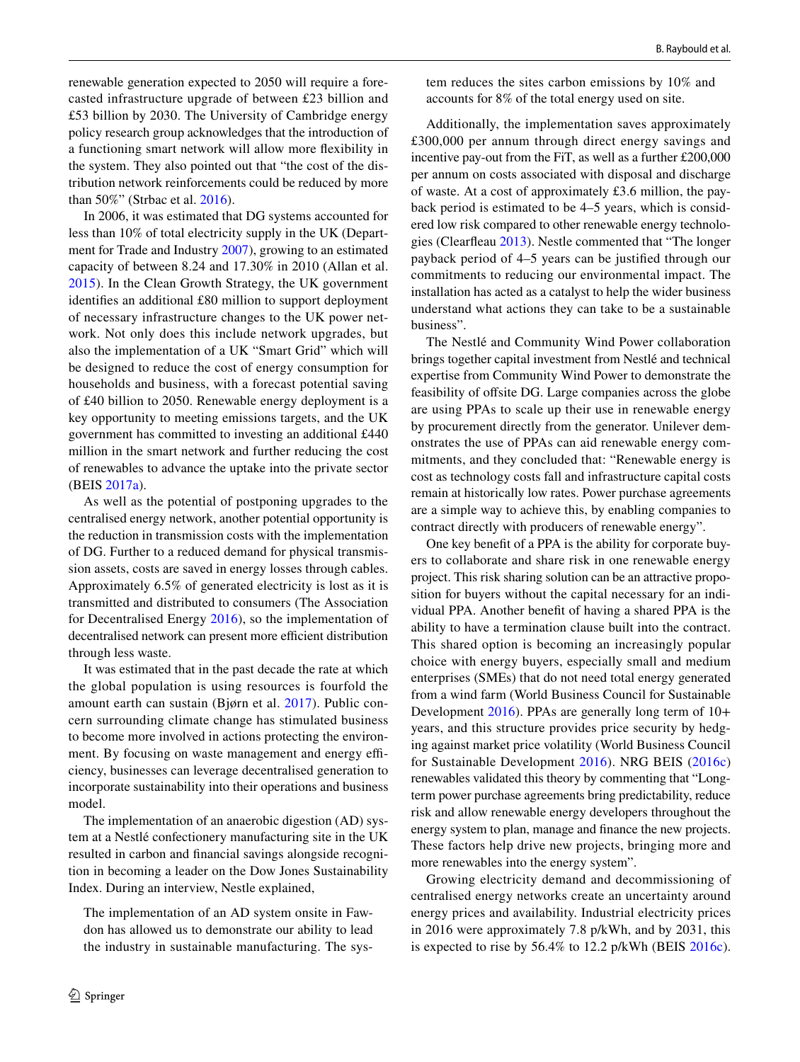renewable generation expected to 2050 will require a forecasted infrastructure upgrade of between £23 billion and £53 billion by 2030. The University of Cambridge energy policy research group acknowledges that the introduction of a functioning smart network will allow more fexibility in the system. They also pointed out that "the cost of the distribution network reinforcements could be reduced by more than 50%" (Strbac et al. [2016](#page-15-15)).

In 2006, it was estimated that DG systems accounted for less than 10% of total electricity supply in the UK (Department for Trade and Industry [2007](#page-15-38)), growing to an estimated capacity of between 8.24 and 17.30% in 2010 (Allan et al. [2015\)](#page-14-15). In the Clean Growth Strategy, the UK government identifes an additional £80 million to support deployment of necessary infrastructure changes to the UK power network. Not only does this include network upgrades, but also the implementation of a UK "Smart Grid" which will be designed to reduce the cost of energy consumption for households and business, with a forecast potential saving of £40 billion to 2050. Renewable energy deployment is a key opportunity to meeting emissions targets, and the UK government has committed to investing an additional £440 million in the smart network and further reducing the cost of renewables to advance the uptake into the private sector (BEIS [2017a](#page-14-0)).

As well as the potential of postponing upgrades to the centralised energy network, another potential opportunity is the reduction in transmission costs with the implementation of DG. Further to a reduced demand for physical transmission assets, costs are saved in energy losses through cables. Approximately 6.5% of generated electricity is lost as it is transmitted and distributed to consumers (The Association for Decentralised Energy [2016](#page-15-39)), so the implementation of decentralised network can present more efficient distribution through less waste.

It was estimated that in the past decade the rate at which the global population is using resources is fourfold the amount earth can sustain (Bjørn et al. [2017](#page-14-16)). Public concern surrounding climate change has stimulated business to become more involved in actions protecting the environment. By focusing on waste management and energy efficiency, businesses can leverage decentralised generation to incorporate sustainability into their operations and business model.

The implementation of an anaerobic digestion (AD) system at a Nestlé confectionery manufacturing site in the UK resulted in carbon and fnancial savings alongside recognition in becoming a leader on the Dow Jones Sustainability Index. During an interview, Nestle explained,

The implementation of an AD system onsite in Fawdon has allowed us to demonstrate our ability to lead the industry in sustainable manufacturing. The system reduces the sites carbon emissions by 10% and accounts for 8% of the total energy used on site.

Additionally, the implementation saves approximately £300,000 per annum through direct energy savings and incentive pay-out from the FiT, as well as a further £200,000 per annum on costs associated with disposal and discharge of waste. At a cost of approximately £3.6 million, the payback period is estimated to be 4–5 years, which is considered low risk compared to other renewable energy technologies (Clearfeau [2013](#page-15-40)). Nestle commented that "The longer payback period of 4–5 years can be justifed through our commitments to reducing our environmental impact. The installation has acted as a catalyst to help the wider business understand what actions they can take to be a sustainable business".

The Nestlé and Community Wind Power collaboration brings together capital investment from Nestlé and technical expertise from Community Wind Power to demonstrate the feasibility of ofsite DG. Large companies across the globe are using PPAs to scale up their use in renewable energy by procurement directly from the generator. Unilever demonstrates the use of PPAs can aid renewable energy commitments, and they concluded that: "Renewable energy is cost as technology costs fall and infrastructure capital costs remain at historically low rates. Power purchase agreements are a simple way to achieve this, by enabling companies to contract directly with producers of renewable energy".

One key beneft of a PPA is the ability for corporate buyers to collaborate and share risk in one renewable energy project. This risk sharing solution can be an attractive proposition for buyers without the capital necessary for an individual PPA. Another beneft of having a shared PPA is the ability to have a termination clause built into the contract. This shared option is becoming an increasingly popular choice with energy buyers, especially small and medium enterprises (SMEs) that do not need total energy generated from a wind farm (World Business Council for Sustainable Development [2016\)](#page-16-3). PPAs are generally long term of 10+ years, and this structure provides price security by hedging against market price volatility (World Business Council for Sustainable Development [2016](#page-16-3)). NRG BEIS ([2016c](#page-14-17)) renewables validated this theory by commenting that "Longterm power purchase agreements bring predictability, reduce risk and allow renewable energy developers throughout the energy system to plan, manage and fnance the new projects. These factors help drive new projects, bringing more and more renewables into the energy system".

Growing electricity demand and decommissioning of centralised energy networks create an uncertainty around energy prices and availability. Industrial electricity prices in 2016 were approximately 7.8 p/kWh, and by 2031, this is expected to rise by 56.4% to 12.2 p/kWh (BEIS [2016c](#page-14-17)).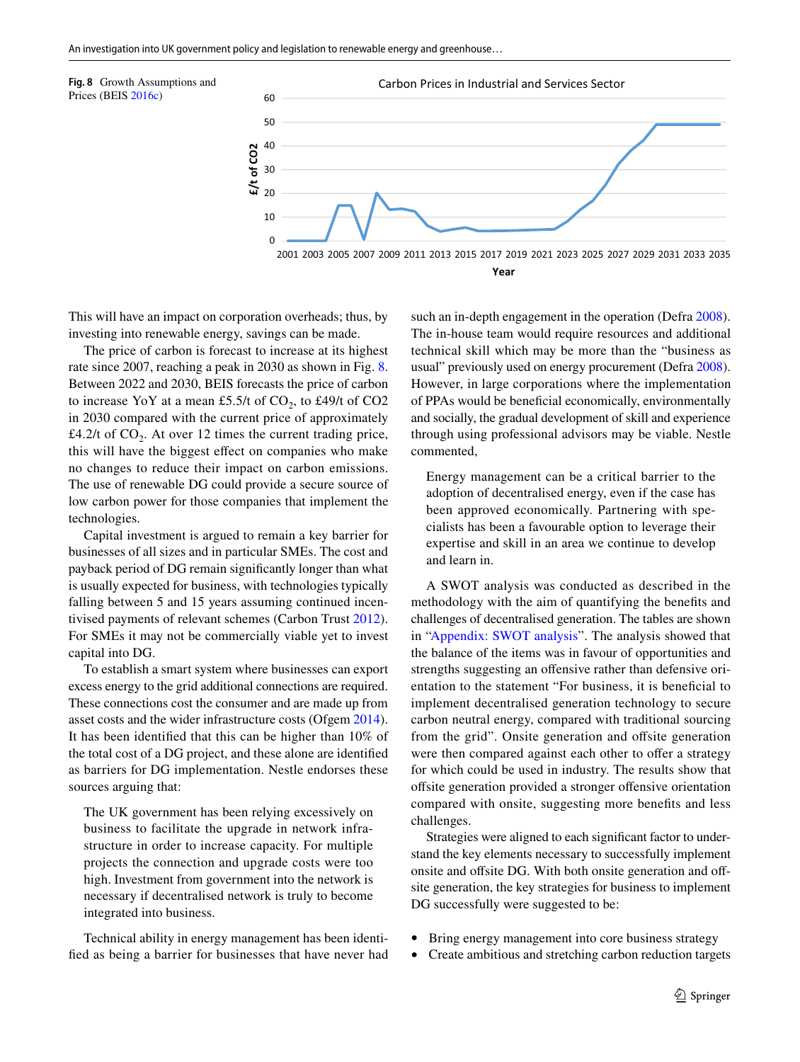<span id="page-10-0"></span>

This will have an impact on corporation overheads; thus, by investing into renewable energy, savings can be made.

The price of carbon is forecast to increase at its highest rate since 2007, reaching a peak in 2030 as shown in Fig. [8.](#page-10-0) Between 2022 and 2030, BEIS forecasts the price of carbon to increase YoY at a mean £5.5/t of  $CO<sub>2</sub>$ , to £49/t of  $CO<sub>2</sub>$ in 2030 compared with the current price of approximately £4.2/t of  $CO<sub>2</sub>$ . At over 12 times the current trading price, this will have the biggest efect on companies who make no changes to reduce their impact on carbon emissions. The use of renewable DG could provide a secure source of low carbon power for those companies that implement the technologies.

Capital investment is argued to remain a key barrier for businesses of all sizes and in particular SMEs. The cost and payback period of DG remain signifcantly longer than what is usually expected for business, with technologies typically falling between 5 and 15 years assuming continued incentivised payments of relevant schemes (Carbon Trust [2012](#page-14-18)). For SMEs it may not be commercially viable yet to invest capital into DG.

To establish a smart system where businesses can export excess energy to the grid additional connections are required. These connections cost the consumer and are made up from asset costs and the wider infrastructure costs (Ofgem [2014](#page-15-41)). It has been identifed that this can be higher than 10% of the total cost of a DG project, and these alone are identifed as barriers for DG implementation. Nestle endorses these sources arguing that:

The UK government has been relying excessively on business to facilitate the upgrade in network infrastructure in order to increase capacity. For multiple projects the connection and upgrade costs were too high. Investment from government into the network is necessary if decentralised network is truly to become integrated into business.

Technical ability in energy management has been identifed as being a barrier for businesses that have never had such an in-depth engagement in the operation (Defra [2008](#page-15-42)). The in-house team would require resources and additional technical skill which may be more than the "business as usual" previously used on energy procurement (Defra [2008](#page-15-42)). However, in large corporations where the implementation of PPAs would be benefcial economically, environmentally and socially, the gradual development of skill and experience through using professional advisors may be viable. Nestle commented,

Energy management can be a critical barrier to the adoption of decentralised energy, even if the case has been approved economically. Partnering with specialists has been a favourable option to leverage their expertise and skill in an area we continue to develop and learn in.

A SWOT analysis was conducted as described in the methodology with the aim of quantifying the benefts and challenges of decentralised generation. The tables are shown in ["Appendix: SWOT analysis"](#page-12-0). The analysis showed that the balance of the items was in favour of opportunities and strengths suggesting an offensive rather than defensive orientation to the statement "For business, it is benefcial to implement decentralised generation technology to secure carbon neutral energy, compared with traditional sourcing from the grid". Onsite generation and offsite generation were then compared against each other to offer a strategy for which could be used in industry. The results show that offsite generation provided a stronger offensive orientation compared with onsite, suggesting more benefts and less challenges.

Strategies were aligned to each signifcant factor to understand the key elements necessary to successfully implement onsite and offsite DG. With both onsite generation and offsite generation, the key strategies for business to implement DG successfully were suggested to be:

- Bring energy management into core business strategy
- Create ambitious and stretching carbon reduction targets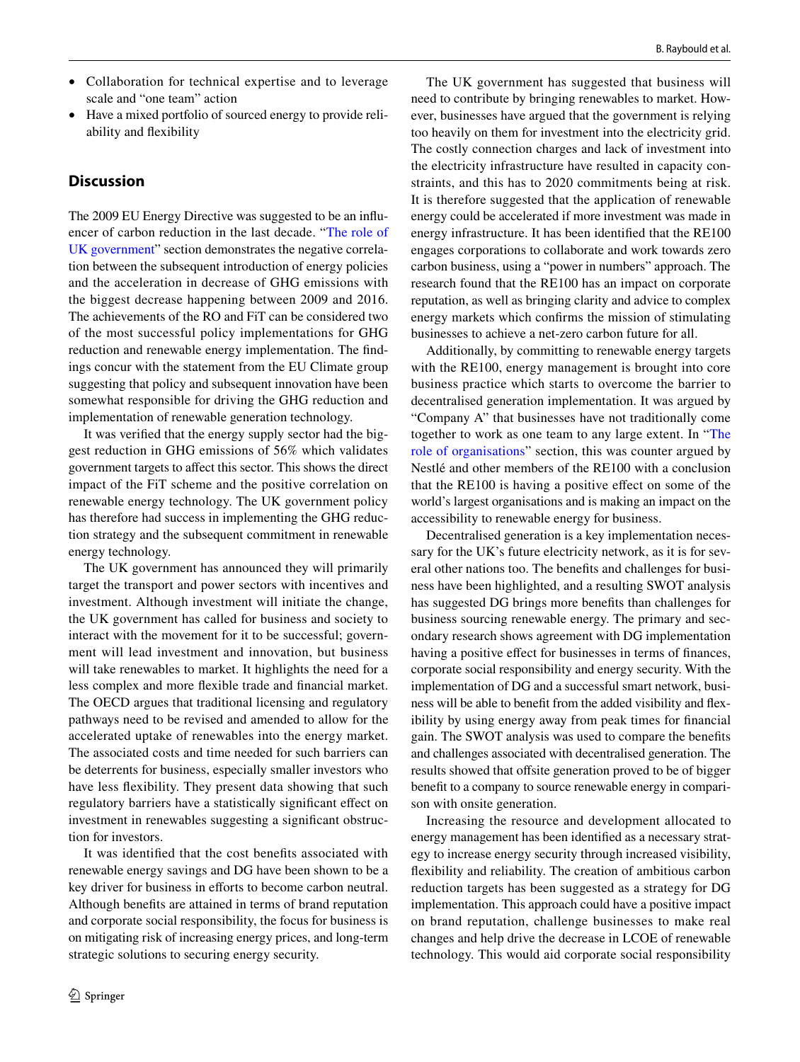- Collaboration for technical expertise and to leverage scale and "one team" action
- Have a mixed portfolio of sourced energy to provide reliability and fexibility

## **Discussion**

The 2009 EU Energy Directive was suggested to be an infuencer of carbon reduction in the last decade. "[The role of](#page-5-1) [UK government](#page-5-1)" section demonstrates the negative correlation between the subsequent introduction of energy policies and the acceleration in decrease of GHG emissions with the biggest decrease happening between 2009 and 2016. The achievements of the RO and FiT can be considered two of the most successful policy implementations for GHG reduction and renewable energy implementation. The fndings concur with the statement from the EU Climate group suggesting that policy and subsequent innovation have been somewhat responsible for driving the GHG reduction and implementation of renewable generation technology.

It was verifed that the energy supply sector had the biggest reduction in GHG emissions of 56% which validates government targets to afect this sector. This shows the direct impact of the FiT scheme and the positive correlation on renewable energy technology. The UK government policy has therefore had success in implementing the GHG reduction strategy and the subsequent commitment in renewable energy technology.

The UK government has announced they will primarily target the transport and power sectors with incentives and investment. Although investment will initiate the change, the UK government has called for business and society to interact with the movement for it to be successful; government will lead investment and innovation, but business will take renewables to market. It highlights the need for a less complex and more fexible trade and fnancial market. The OECD argues that traditional licensing and regulatory pathways need to be revised and amended to allow for the accelerated uptake of renewables into the energy market. The associated costs and time needed for such barriers can be deterrents for business, especially smaller investors who have less fexibility. They present data showing that such regulatory barriers have a statistically signifcant efect on investment in renewables suggesting a signifcant obstruction for investors.

It was identifed that the cost benefts associated with renewable energy savings and DG have been shown to be a key driver for business in efforts to become carbon neutral. Although benefts are attained in terms of brand reputation and corporate social responsibility, the focus for business is on mitigating risk of increasing energy prices, and long-term strategic solutions to securing energy security.

The UK government has suggested that business will need to contribute by bringing renewables to market. However, businesses have argued that the government is relying too heavily on them for investment into the electricity grid. The costly connection charges and lack of investment into the electricity infrastructure have resulted in capacity constraints, and this has to 2020 commitments being at risk. It is therefore suggested that the application of renewable energy could be accelerated if more investment was made in energy infrastructure. It has been identifed that the RE100 engages corporations to collaborate and work towards zero carbon business, using a "power in numbers" approach. The research found that the RE100 has an impact on corporate reputation, as well as bringing clarity and advice to complex energy markets which confrms the mission of stimulating businesses to achieve a net-zero carbon future for all.

Additionally, by committing to renewable energy targets with the RE100, energy management is brought into core business practice which starts to overcome the barrier to decentralised generation implementation. It was argued by "Company A" that businesses have not traditionally come together to work as one team to any large extent. In ["The](#page-8-0) [role of organisations](#page-8-0)" section, this was counter argued by Nestlé and other members of the RE100 with a conclusion that the RE100 is having a positive efect on some of the world's largest organisations and is making an impact on the accessibility to renewable energy for business.

Decentralised generation is a key implementation necessary for the UK's future electricity network, as it is for several other nations too. The benefts and challenges for business have been highlighted, and a resulting SWOT analysis has suggested DG brings more benefts than challenges for business sourcing renewable energy. The primary and secondary research shows agreement with DG implementation having a positive effect for businesses in terms of finances, corporate social responsibility and energy security. With the implementation of DG and a successful smart network, business will be able to beneft from the added visibility and fexibility by using energy away from peak times for fnancial gain. The SWOT analysis was used to compare the benefts and challenges associated with decentralised generation. The results showed that offsite generation proved to be of bigger beneft to a company to source renewable energy in comparison with onsite generation.

Increasing the resource and development allocated to energy management has been identifed as a necessary strategy to increase energy security through increased visibility, fexibility and reliability. The creation of ambitious carbon reduction targets has been suggested as a strategy for DG implementation. This approach could have a positive impact on brand reputation, challenge businesses to make real changes and help drive the decrease in LCOE of renewable technology. This would aid corporate social responsibility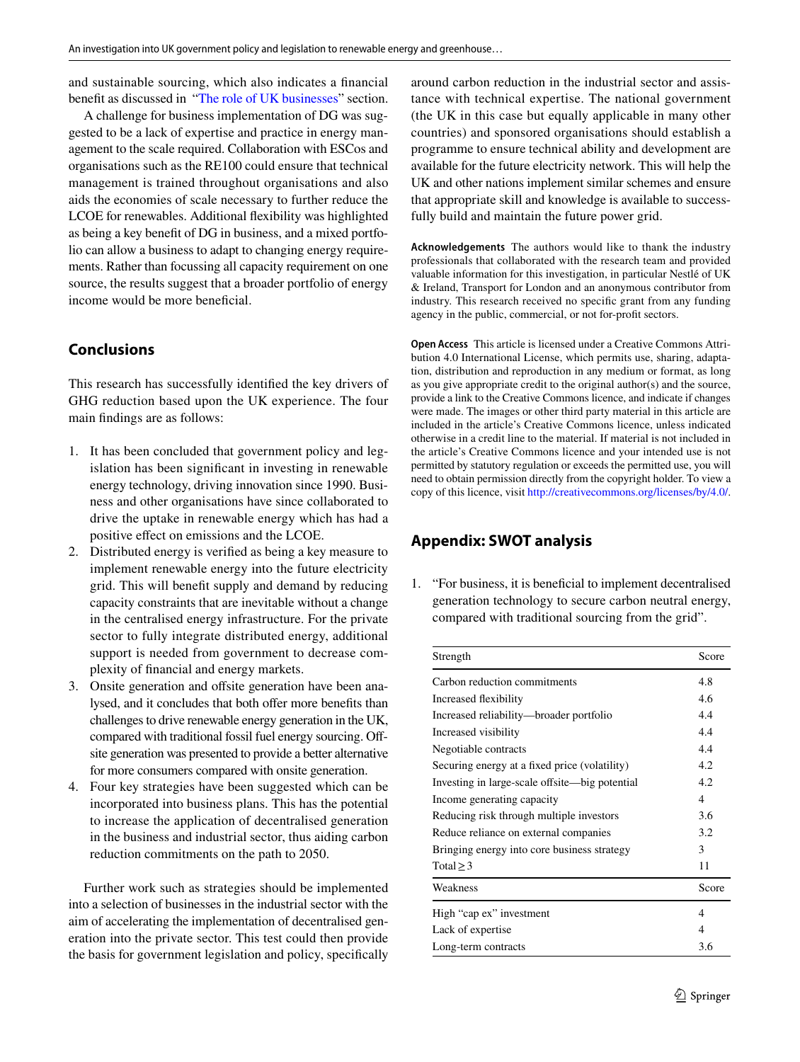and sustainable sourcing, which also indicates a fnancial benefit as discussed in "[The role of UK businesses"](#page-8-2) section.

A challenge for business implementation of DG was suggested to be a lack of expertise and practice in energy management to the scale required. Collaboration with ESCos and organisations such as the RE100 could ensure that technical management is trained throughout organisations and also aids the economies of scale necessary to further reduce the LCOE for renewables. Additional fexibility was highlighted as being a key beneft of DG in business, and a mixed portfolio can allow a business to adapt to changing energy requirements. Rather than focussing all capacity requirement on one source, the results suggest that a broader portfolio of energy income would be more beneficial.

# **Conclusions**

This research has successfully identifed the key drivers of GHG reduction based upon the UK experience. The four main fndings are as follows:

- 1. It has been concluded that government policy and legislation has been signifcant in investing in renewable energy technology, driving innovation since 1990. Business and other organisations have since collaborated to drive the uptake in renewable energy which has had a positive efect on emissions and the LCOE.
- 2. Distributed energy is verifed as being a key measure to implement renewable energy into the future electricity grid. This will beneft supply and demand by reducing capacity constraints that are inevitable without a change in the centralised energy infrastructure. For the private sector to fully integrate distributed energy, additional support is needed from government to decrease complexity of fnancial and energy markets.
- 3. Onsite generation and offsite generation have been analysed, and it concludes that both offer more benefits than challenges to drive renewable energy generation in the UK, compared with traditional fossil fuel energy sourcing. Ofsite generation was presented to provide a better alternative for more consumers compared with onsite generation.
- 4. Four key strategies have been suggested which can be incorporated into business plans. This has the potential to increase the application of decentralised generation in the business and industrial sector, thus aiding carbon reduction commitments on the path to 2050.

Further work such as strategies should be implemented into a selection of businesses in the industrial sector with the aim of accelerating the implementation of decentralised generation into the private sector. This test could then provide the basis for government legislation and policy, specifcally around carbon reduction in the industrial sector and assistance with technical expertise. The national government (the UK in this case but equally applicable in many other countries) and sponsored organisations should establish a programme to ensure technical ability and development are available for the future electricity network. This will help the UK and other nations implement similar schemes and ensure that appropriate skill and knowledge is available to successfully build and maintain the future power grid.

**Acknowledgements** The authors would like to thank the industry professionals that collaborated with the research team and provided valuable information for this investigation, in particular Nestlé of UK & Ireland, Transport for London and an anonymous contributor from industry. This research received no specifc grant from any funding agency in the public, commercial, or not for-proft sectors.

**Open Access** This article is licensed under a Creative Commons Attribution 4.0 International License, which permits use, sharing, adaptation, distribution and reproduction in any medium or format, as long as you give appropriate credit to the original author(s) and the source, provide a link to the Creative Commons licence, and indicate if changes were made. The images or other third party material in this article are included in the article's Creative Commons licence, unless indicated otherwise in a credit line to the material. If material is not included in the article's Creative Commons licence and your intended use is not permitted by statutory regulation or exceeds the permitted use, you will need to obtain permission directly from the copyright holder. To view a copy of this licence, visit<http://creativecommons.org/licenses/by/4.0/>.

# <span id="page-12-0"></span>**Appendix: SWOT analysis**

1. "For business, it is benefcial to implement decentralised generation technology to secure carbon neutral energy, compared with traditional sourcing from the grid".

| Strength                                       | Score |  |
|------------------------------------------------|-------|--|
| Carbon reduction commitments                   | 4.8   |  |
| Increased flexibility                          |       |  |
| Increased reliability—broader portfolio        | 4.4   |  |
| Increased visibility                           | 4.4   |  |
| Negotiable contracts                           | 4.4   |  |
| Securing energy at a fixed price (volatility)  | 4.2   |  |
| Investing in large-scale offsite—big potential |       |  |
| Income generating capacity                     | 4     |  |
| Reducing risk through multiple investors       |       |  |
| Reduce reliance on external companies          |       |  |
| Bringing energy into core business strategy    |       |  |
| Total $\geq$ 3                                 | 11    |  |
| Weakness                                       | Score |  |
| High "cap ex" investment                       |       |  |
| Lack of expertise                              |       |  |
| Long-term contracts                            |       |  |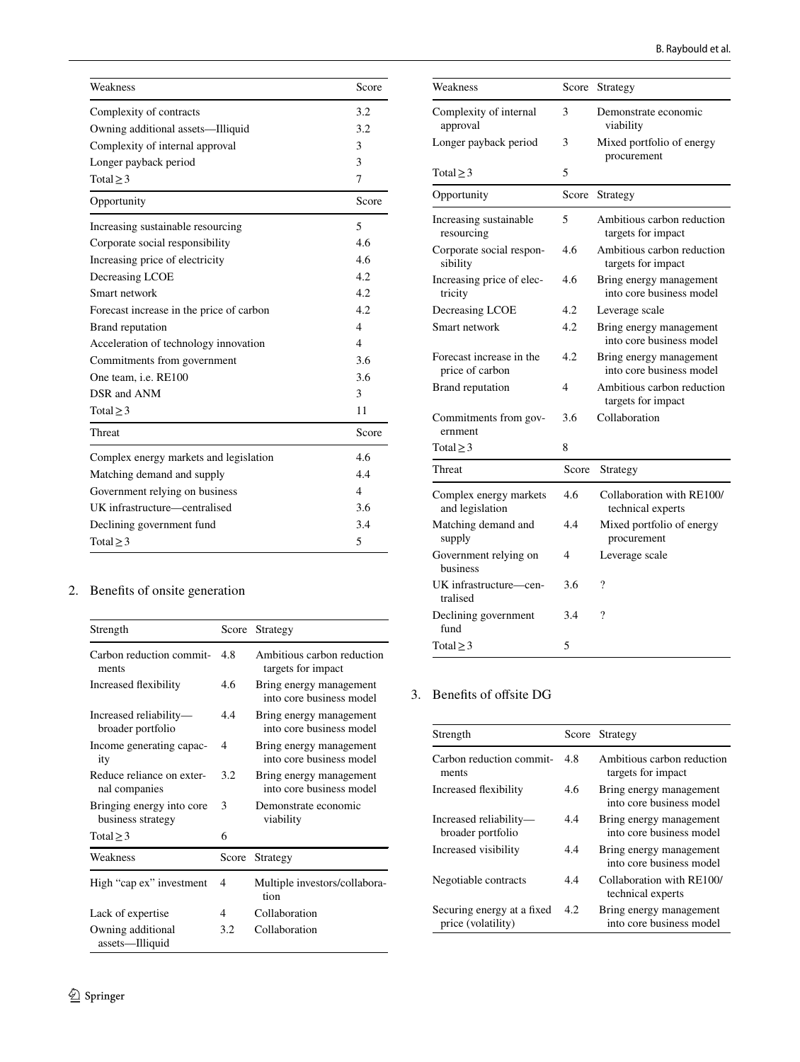| Weakness                                 | Score          |
|------------------------------------------|----------------|
| Complexity of contracts                  | 3.2            |
| Owning additional assets—Illiquid        | 3.2            |
| Complexity of internal approval          | 3              |
| Longer payback period                    | 3              |
| Total $\geq$ 3                           | 7              |
| Opportunity                              | Score          |
| Increasing sustainable resourcing        | 5              |
| Corporate social responsibility          | 4.6            |
| Increasing price of electricity          | 4.6            |
| Decreasing LCOE                          | 4.2            |
| Smart network                            | 4.2.           |
| Forecast increase in the price of carbon | 4.2            |
| Brand reputation                         | 4              |
| Acceleration of technology innovation    | $\overline{A}$ |
| Commitments from government              | 3.6            |
| One team, <i>i.e.</i> RE100              | 3.6            |
| DSR and ANM                              | 3              |
| Total $\geq$ 3                           | 11             |
| Threat                                   | Score          |
| Complex energy markets and legislation   | 4.6            |
| Matching demand and supply               |                |
| Government relying on business           | 4              |
| UK infrastructure—centralised            | 3.6            |
| Declining government fund                | 3.4            |
| Total $\geq$ 3                           | 5              |

# 2. Benefts of onsite generation

| Strength                                       | Score | Strategy                                            |
|------------------------------------------------|-------|-----------------------------------------------------|
| Carbon reduction commit-<br>ments              | 4.8   | Ambitious carbon reduction<br>targets for impact    |
| Increased flexibility                          | 4.6   | Bring energy management<br>into core business model |
| Increased reliability-<br>broader portfolio    | 4.4   | Bring energy management<br>into core business model |
| Income generating capac-<br>ity                | 4     | Bring energy management<br>into core business model |
| Reduce reliance on exter-<br>nal companies     | 3.2   | Bring energy management<br>into core business model |
| Bringing energy into core<br>business strategy | 3     | Demonstrate economic<br>viability                   |
| Total $\geq$ 3                                 | 6     |                                                     |
| Weakness                                       | Score | Strategy                                            |
| High "cap ex" investment                       | 4     | Multiple investors/collabora-<br>tion               |
| Lack of expertise                              | 4     | Collaboration                                       |
| Owning additional<br>assets-Illiquid           | 3.2   | Collaboration                                       |

| Weakness                                    | Score          | Strategy                                            |
|---------------------------------------------|----------------|-----------------------------------------------------|
| Complexity of internal<br>approval          | 3              | Demonstrate economic<br>viability                   |
| Longer payback period                       | 3              | Mixed portfolio of energy<br>procurement            |
| Total $\geq$ 3                              | 5              |                                                     |
| Opportunity                                 | Score          | Strategy                                            |
| Increasing sustainable<br>resourcing        | 5              | Ambitious carbon reduction<br>targets for impact    |
| Corporate social respon-<br>sibility        | 4.6            | Ambitious carbon reduction<br>targets for impact    |
| Increasing price of elec-<br>tricity        | 4.6            | Bring energy management<br>into core business model |
| Decreasing LCOE                             | 4.2            | Leverage scale                                      |
| Smart network                               | 4.2            | Bring energy management<br>into core business model |
| Forecast increase in the<br>price of carbon | 4.2            | Bring energy management<br>into core business model |
| Brand reputation                            | $\overline{4}$ | Ambitious carbon reduction<br>targets for impact    |
| Commitments from gov-<br>ernment            | 3.6            | Collaboration                                       |
| Total $\geq$ 3                              | 8              |                                                     |
| Threat                                      | Score          | Strategy                                            |
| Complex energy markets<br>and legislation   | 4.6            | Collaboration with RE100/<br>technical experts      |
| Matching demand and<br>supply               | 4.4            | Mixed portfolio of energy<br>procurement            |
| Government relying on<br>business           | $\overline{4}$ | Leverage scale                                      |
| UK infrastructure-cen-<br>tralised          | 3.6            | ?                                                   |
| Declining government<br>fund                | 3.4            | ?                                                   |
| Total $\geq$ 3                              | 5              |                                                     |

## 3. Benefits of offsite DG

| Strength                                         |     | Score Strategy                                      |
|--------------------------------------------------|-----|-----------------------------------------------------|
| Carbon reduction commit-<br>ments                | 4.8 | Ambitious carbon reduction<br>targets for impact    |
| Increased flexibility                            | 4.6 | Bring energy management<br>into core business model |
| Increased reliability-<br>broader portfolio      | 4.4 | Bring energy management<br>into core business model |
| Increased visibility                             | 4.4 | Bring energy management<br>into core business model |
| Negotiable contracts                             | 44  | Collaboration with RE100/<br>technical experts      |
| Securing energy at a fixed<br>price (volatility) | 4.2 | Bring energy management<br>into core business model |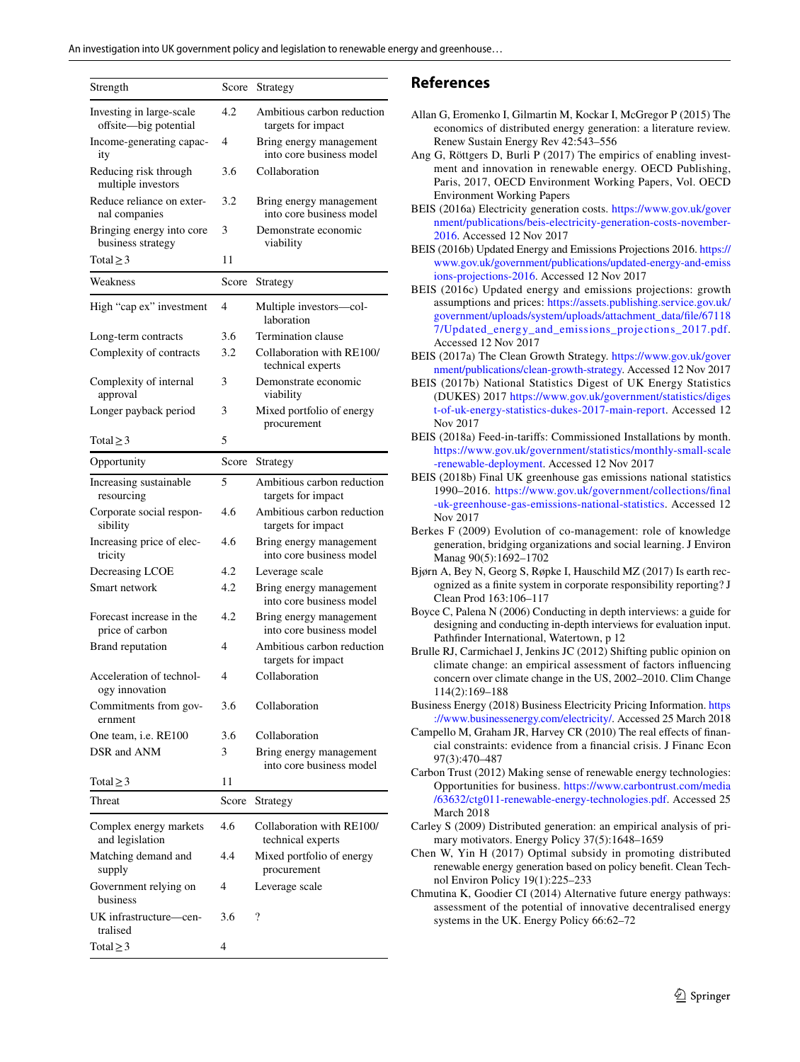| Strength                                          | Score | Strategy                                            |
|---------------------------------------------------|-------|-----------------------------------------------------|
| Investing in large-scale<br>offsite-big potential | 4.2   | Ambitious carbon reduction<br>targets for impact    |
| Income-generating capac-<br>ity                   | 4     | Bring energy management<br>into core business model |
| Reducing risk through<br>multiple investors       | 3.6   | Collaboration                                       |
| Reduce reliance on exter-<br>nal companies        | 3.2   | Bring energy management<br>into core business model |
| Bringing energy into core<br>business strategy    | 3     | Demonstrate economic<br>viability                   |
| Total $\geq$ 3                                    | 11    |                                                     |
| Weakness                                          | Score | Strategy                                            |
| High "cap ex" investment                          | 4     | Multiple investors-col-<br>laboration               |
| Long-term contracts                               | 3.6   | Termination clause                                  |
| Complexity of contracts                           | 3.2   | Collaboration with RE100/<br>technical experts      |
| Complexity of internal<br>approval                | 3     | Demonstrate economic<br>viability                   |
| Longer payback period                             | 3     | Mixed portfolio of energy<br>procurement            |
| Total $\geq$ 3                                    | 5     |                                                     |
| Opportunity                                       | Score | Strategy                                            |
| Increasing sustainable<br>resourcing              | 5     | Ambitious carbon reduction<br>targets for impact    |
| Corporate social respon-<br>sibility              | 4.6   | Ambitious carbon reduction<br>targets for impact    |
| Increasing price of elec-<br>tricity              | 4.6   | Bring energy management<br>into core business model |
| Decreasing LCOE                                   | 4.2   | Leverage scale                                      |
| Smart network                                     | 4.2   | Bring energy management<br>into core business model |
| Forecast increase in the<br>price of carbon       | 4.2   | Bring energy management<br>into core business model |
| Brand reputation                                  | 4     | Ambitious carbon reduction<br>targets for impact    |
| Acceleration of technol-<br>ogy innovation        | 4     | Collaboration                                       |
| Commitments from gov-<br>ernment                  | 3.6   | Collaboration                                       |
| One team, <i>i.e.</i> RE100                       | 3.6   | Collaboration                                       |
| DSR and ANM                                       | 3     | Bring energy management<br>into core business model |
| Total $\geq$ 3                                    | 11    |                                                     |
| Threat                                            | Score | Strategy                                            |
| Complex energy markets<br>and legislation         | 4.6   | Collaboration with RE100/<br>technical experts      |
| Matching demand and<br>supply                     | 4.4   | Mixed portfolio of energy<br>procurement            |
| Government relying on<br>business                 | 4     | Leverage scale                                      |
| UK infrastructure-cen-<br>tralised                | 3.6   | ?                                                   |
| Total $\geq$ 3                                    | 4     |                                                     |

## **References**

- <span id="page-14-15"></span>Allan G, Eromenko I, Gilmartin M, Kockar I, McGregor P (2015) The economics of distributed energy generation: a literature review. Renew Sustain Energy Rev 42:543–556
- <span id="page-14-14"></span>Ang G, Röttgers D, Burli P (2017) The empirics of enabling investment and innovation in renewable energy. OECD Publishing, Paris, 2017, OECD Environment Working Papers, Vol. OECD Environment Working Papers
- <span id="page-14-1"></span>BEIS (2016a) Electricity generation costs. [https://www.gov.uk/gover](https://www.gov.uk/government/publications/beis-electricity-generation-costs-november-2016) [nment/publications/beis-electricity-generation-costs-november-](https://www.gov.uk/government/publications/beis-electricity-generation-costs-november-2016)[2016](https://www.gov.uk/government/publications/beis-electricity-generation-costs-november-2016). Accessed 12 Nov 2017
- <span id="page-14-2"></span>BEIS (2016b) Updated Energy and Emissions Projections 2016. [https://](https://www.gov.uk/government/publications/updated-energy-and-emissions-projections-2016) [www.gov.uk/government/publications/updated-energy-and-emiss](https://www.gov.uk/government/publications/updated-energy-and-emissions-projections-2016) [ions-projections-2016.](https://www.gov.uk/government/publications/updated-energy-and-emissions-projections-2016) Accessed 12 Nov 2017
- <span id="page-14-17"></span>BEIS (2016c) Updated energy and emissions projections: growth assumptions and prices: [https://assets.publishing.service.gov.uk/](https://assets.publishing.service.gov.uk/government/uploads/system/uploads/attachment_data/file/671187/Updated_energy_and_emissions_projections_2017.pdf) [government/uploads/system/uploads/attachment\\_data/fle/67118](https://assets.publishing.service.gov.uk/government/uploads/system/uploads/attachment_data/file/671187/Updated_energy_and_emissions_projections_2017.pdf) [7/Updated\\_energy\\_and\\_emissions\\_projections\\_2017.pdf](https://assets.publishing.service.gov.uk/government/uploads/system/uploads/attachment_data/file/671187/Updated_energy_and_emissions_projections_2017.pdf). Accessed 12 Nov 2017
- <span id="page-14-0"></span>BEIS (2017a) The Clean Growth Strategy. [https://www.gov.uk/gover](https://www.gov.uk/government/publications/clean-growth-strategy) [nment/publications/clean-growth-strategy](https://www.gov.uk/government/publications/clean-growth-strategy). Accessed 12 Nov 2017
- <span id="page-14-4"></span>BEIS (2017b) National Statistics Digest of UK Energy Statistics (DUKES) 2017 [https://www.gov.uk/government/statistics/diges](https://www.gov.uk/government/statistics/digest-of-uk-energy-statistics-dukes-2017-main-report) [t-of-uk-energy-statistics-dukes-2017-main-report](https://www.gov.uk/government/statistics/digest-of-uk-energy-statistics-dukes-2017-main-report). Accessed 12 Nov 2017
- <span id="page-14-3"></span>BEIS (2018a) Feed-in-tarifs: Commissioned Installations by month. [https://www.gov.uk/government/statistics/monthly-small-scale](https://www.gov.uk/government/statistics/monthly-small-scale-renewable-deployment) [-renewable-deployment](https://www.gov.uk/government/statistics/monthly-small-scale-renewable-deployment). Accessed 12 Nov 2017
- <span id="page-14-13"></span>BEIS (2018b) Final UK greenhouse gas emissions national statistics 1990–2016. [https://www.gov.uk/government/collections/fnal](https://www.gov.uk/government/collections/final-uk-greenhouse-gas-emissions-national-statistics) [-uk-greenhouse-gas-emissions-national-statistics](https://www.gov.uk/government/collections/final-uk-greenhouse-gas-emissions-national-statistics). Accessed 12 Nov 2017
- <span id="page-14-9"></span>Berkes F (2009) Evolution of co-management: role of knowledge generation, bridging organizations and social learning. J Environ Manag 90(5):1692–1702
- <span id="page-14-16"></span>Bjørn A, Bey N, Georg S, Røpke I, Hauschild MZ (2017) Is earth recognized as a fnite system in corporate responsibility reporting? J Clean Prod 163:106–117
- <span id="page-14-11"></span>Boyce C, Palena N (2006) Conducting in depth interviews: a guide for designing and conducting in-depth interviews for evaluation input. Pathfnder International, Watertown, p 12
- <span id="page-14-6"></span>Brulle RJ, Carmichael J, Jenkins JC (2012) Shifting public opinion on climate change: an empirical assessment of factors infuencing concern over climate change in the US, 2002–2010. Clim Change 114(2):169–188
- <span id="page-14-5"></span>Business Energy (2018) Business Electricity Pricing Information. [https](https://www.businessenergy.com/electricity/) [://www.businessenergy.com/electricity/.](https://www.businessenergy.com/electricity/) Accessed 25 March 2018
- <span id="page-14-12"></span>Campello M, Graham JR, Harvey CR (2010) The real efects of fnancial constraints: evidence from a fnancial crisis. J Financ Econ 97(3):470–487
- <span id="page-14-18"></span>Carbon Trust (2012) Making sense of renewable energy technologies: Opportunities for business. [https://www.carbontrust.com/media](https://www.carbontrust.com/media/63632/ctg011-renewable-energy-technologies.pdf) [/63632/ctg011-renewable-energy-technologies.pdf](https://www.carbontrust.com/media/63632/ctg011-renewable-energy-technologies.pdf). Accessed 25 March 2018
- <span id="page-14-8"></span>Carley S (2009) Distributed generation: an empirical analysis of primary motivators. Energy Policy 37(5):1648–1659
- <span id="page-14-10"></span>Chen W, Yin H (2017) Optimal subsidy in promoting distributed renewable energy generation based on policy beneft. Clean Technol Environ Policy 19(1):225–233
- <span id="page-14-7"></span>Chmutina K, Goodier CI (2014) Alternative future energy pathways: assessment of the potential of innovative decentralised energy systems in the UK. Energy Policy 66:62–72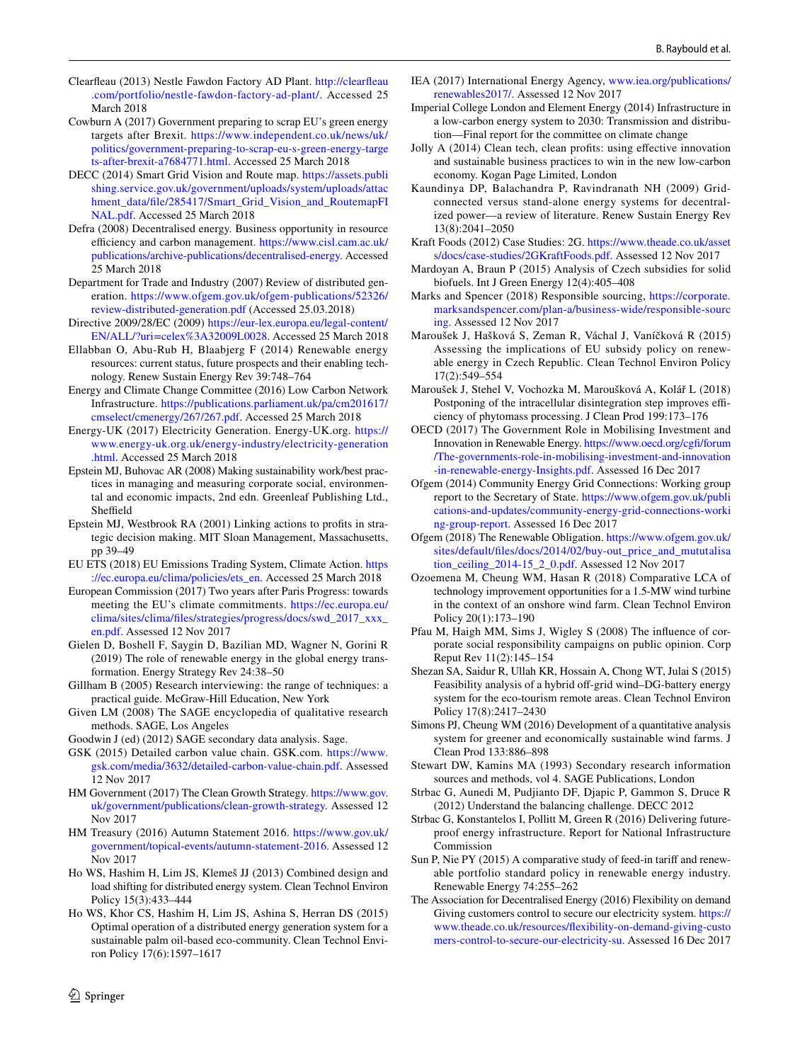- <span id="page-15-40"></span>Clearfeau (2013) Nestle Fawdon Factory AD Plant. [http://clearfeau](http://clearfleau.com/portfolio/nestle-fawdon-factory-ad-plant/) [.com/portfolio/nestle-fawdon-factory-ad-plant/.](http://clearfleau.com/portfolio/nestle-fawdon-factory-ad-plant/) Accessed 25 March 2018
- <span id="page-15-29"></span>Cowburn A (2017) Government preparing to scrap EU's green energy targets after Brexit. [https://www.independent.co.uk/news/uk/](https://www.independent.co.uk/news/uk/politics/government-preparing-to-scrap-eu-s-green-energy-targets-after-brexit-a7684771.html) [politics/government-preparing-to-scrap-eu-s-green-energy-targe](https://www.independent.co.uk/news/uk/politics/government-preparing-to-scrap-eu-s-green-energy-targets-after-brexit-a7684771.html) [ts-after-brexit-a7684771.html.](https://www.independent.co.uk/news/uk/politics/government-preparing-to-scrap-eu-s-green-energy-targets-after-brexit-a7684771.html) Accessed 25 March 2018
- <span id="page-15-18"></span>DECC (2014) Smart Grid Vision and Route map. [https://assets.publi](https://assets.publishing.service.gov.uk/government/uploads/system/uploads/attachment_data/file/285417/Smart_Grid_Vision_and_RoutemapFINAL.pdf) [shing.service.gov.uk/government/uploads/system/uploads/attac](https://assets.publishing.service.gov.uk/government/uploads/system/uploads/attachment_data/file/285417/Smart_Grid_Vision_and_RoutemapFINAL.pdf) [hment\\_data/fle/285417/Smart\\_Grid\\_Vision\\_and\\_RoutemapFI](https://assets.publishing.service.gov.uk/government/uploads/system/uploads/attachment_data/file/285417/Smart_Grid_Vision_and_RoutemapFINAL.pdf) [NAL.pdf](https://assets.publishing.service.gov.uk/government/uploads/system/uploads/attachment_data/file/285417/Smart_Grid_Vision_and_RoutemapFINAL.pdf). Accessed 25 March 2018
- <span id="page-15-42"></span>Defra (2008) Decentralised energy. Business opportunity in resource efficiency and carbon management. [https://www.cisl.cam.ac.uk/](https://www.cisl.cam.ac.uk/publications/archive-publications/decentralised-energy) [publications/archive-publications/decentralised-energy](https://www.cisl.cam.ac.uk/publications/archive-publications/decentralised-energy). Accessed 25 March 2018
- <span id="page-15-38"></span>Department for Trade and Industry (2007) Review of distributed generation. [https://www.ofgem.gov.uk/ofgem-publications/52326/](https://www.ofgem.gov.uk/ofgem-publications/52326/review-distributed-generation.pdf) [review-distributed-generation.pdf](https://www.ofgem.gov.uk/ofgem-publications/52326/review-distributed-generation.pdf) (Accessed 25.03.2018)
- <span id="page-15-9"></span>Directive 2009/28/EC (2009) [https://eur-lex.europa.eu/legal-content/](https://eur-lex.europa.eu/legal-content/EN/ALL/%3furi%3dcelex%253A32009L0028) [EN/ALL/?uri=celex%3A32009L0028.](https://eur-lex.europa.eu/legal-content/EN/ALL/%3furi%3dcelex%253A32009L0028) Accessed 25 March 2018
- <span id="page-15-0"></span>Ellabban O, Abu-Rub H, Blaabjerg F (2014) Renewable energy resources: current status, future prospects and their enabling technology. Renew Sustain Energy Rev 39:748–764
- <span id="page-15-19"></span>Energy and Climate Change Committee (2016) Low Carbon Network Infrastructure. [https://publications.parliament.uk/pa/cm201617/](https://publications.parliament.uk/pa/cm201617/cmselect/cmenergy/267/267.pdf) [cmselect/cmenergy/267/267.pdf](https://publications.parliament.uk/pa/cm201617/cmselect/cmenergy/267/267.pdf). Accessed 25 March 2018
- <span id="page-15-6"></span>Energy-UK (2017) Electricity Generation. Energy-UK.org. [https://](https://www.energy-uk.org.uk/energy-industry/electricity-generation.html) [www.energy-uk.org.uk/energy-industry/electricity-generation](https://www.energy-uk.org.uk/energy-industry/electricity-generation.html) [.html.](https://www.energy-uk.org.uk/energy-industry/electricity-generation.html) Accessed 25 March 2018
- <span id="page-15-14"></span>Epstein MJ, Buhovac AR (2008) Making sustainability work/best practices in managing and measuring corporate social, environmental and economic impacts, 2nd edn. Greenleaf Publishing Ltd., Sheffield
- <span id="page-15-32"></span>Epstein MJ, Westbrook RA (2001) Linking actions to profts in strategic decision making. MIT Sloan Management, Massachusetts, pp 39–49
- <span id="page-15-10"></span>EU ETS (2018) EU Emissions Trading System, Climate Action. [https](https://ec.europa.eu/clima/policies/ets_en) [://ec.europa.eu/clima/policies/ets\\_en.](https://ec.europa.eu/clima/policies/ets_en) Accessed 25 March 2018
- <span id="page-15-11"></span>European Commission (2017) Two years after Paris Progress: towards meeting the EU's climate commitments. [https://ec.europa.eu/](https://ec.europa.eu/clima/sites/clima/files/strategies/progress/docs/swd_2017_xxx_en.pdf) [clima/sites/clima/fles/strategies/progress/docs/swd\\_2017\\_xxx\\_](https://ec.europa.eu/clima/sites/clima/files/strategies/progress/docs/swd_2017_xxx_en.pdf) [en.pdf.](https://ec.europa.eu/clima/sites/clima/files/strategies/progress/docs/swd_2017_xxx_en.pdf) Assessed 12 Nov 2017
- <span id="page-15-1"></span>Gielen D, Boshell F, Saygin D, Bazilian MD, Wagner N, Gorini R (2019) The role of renewable energy in the global energy transformation. Energy Strategy Rev 24:38–50
- <span id="page-15-24"></span>Gillham B (2005) Research interviewing: the range of techniques: a practical guide. McGraw-Hill Education, New York
- <span id="page-15-25"></span>Given LM (2008) The SAGE encyclopedia of qualitative research methods. SAGE, Los Angeles
- <span id="page-15-26"></span>Goodwin J (ed) (2012) SAGE secondary data analysis. Sage.
- <span id="page-15-35"></span>GSK (2015) Detailed carbon value chain. GSK.com. [https://www.](https://www.gsk.com/media/3632/detailed-carbon-value-chain.pdf) [gsk.com/media/3632/detailed-carbon-value-chain.pdf.](https://www.gsk.com/media/3632/detailed-carbon-value-chain.pdf) Assessed 12 Nov 2017
- <span id="page-15-36"></span>HM Government (2017) The Clean Growth Strategy. [https://www.gov.](https://www.gov.uk/government/publications/clean-growth-strategy) [uk/government/publications/clean-growth-strategy](https://www.gov.uk/government/publications/clean-growth-strategy). Assessed 12 Nov 2017
- <span id="page-15-31"></span>HM Treasury (2016) Autumn Statement 2016. [https://www.gov.uk/](https://www.gov.uk/government/topical-events/autumn-statement-2016) [government/topical-events/autumn-statement-2016](https://www.gov.uk/government/topical-events/autumn-statement-2016). Assessed 12 Nov 2017
- <span id="page-15-20"></span>Ho WS, Hashim H, Lim JS, Klemeš JJ (2013) Combined design and load shifting for distributed energy system. Clean Technol Environ Policy 15(3):433–444
- <span id="page-15-16"></span>Ho WS, Khor CS, Hashim H, Lim JS, Ashina S, Herran DS (2015) Optimal operation of a distributed energy generation system for a sustainable palm oil-based eco-community. Clean Technol Environ Policy 17(6):1597–1617
- <span id="page-15-5"></span>IEA (2017) International Energy Agency, [www.iea.org/publications/](http://www.iea.org/publications/renewables2017/) [renewables2017/.](http://www.iea.org/publications/renewables2017/) Assessed 12 Nov 2017
- <span id="page-15-22"></span>Imperial College London and Element Energy (2014) Infrastructure in a low-carbon energy system to 2030: Transmission and distribution—Final report for the committee on climate change
- <span id="page-15-13"></span>Jolly A (2014) Clean tech, clean profts: using efective innovation and sustainable business practices to win in the new low-carbon economy. Kogan Page Limited, London
- <span id="page-15-2"></span>Kaundinya DP, Balachandra P, Ravindranath NH (2009) Gridconnected versus stand-alone energy systems for decentralized power—a review of literature. Renew Sustain Energy Rev 13(8):2041–2050
- <span id="page-15-33"></span>Kraft Foods (2012) Case Studies: 2G. [https://www.theade.co.uk/asset](https://www.theade.co.uk/assets/docs/case-studies/2GKraftFoods.pdf) [s/docs/case-studies/2GKraftFoods.pdf](https://www.theade.co.uk/assets/docs/case-studies/2GKraftFoods.pdf). Assessed 12 Nov 2017
- <span id="page-15-7"></span>Mardoyan A, Braun P (2015) Analysis of Czech subsidies for solid biofuels. Int J Green Energy 12(4):405–408
- <span id="page-15-34"></span>Marks and Spencer (2018) Responsible sourcing, [https://corporate.](https://corporate.marksandspencer.com/plan-a/business-wide/responsible-sourcing) [marksandspencer.com/plan-a/business-wide/responsible-sourc](https://corporate.marksandspencer.com/plan-a/business-wide/responsible-sourcing) [ing](https://corporate.marksandspencer.com/plan-a/business-wide/responsible-sourcing). Assessed 12 Nov 2017
- <span id="page-15-8"></span>Maroušek J, Hašková S, Zeman R, Váchal J, Vaníčková R (2015) Assessing the implications of EU subsidy policy on renewable energy in Czech Republic. Clean Technol Environ Policy 17(2):549–554
- <span id="page-15-17"></span>Maroušek J, Stehel V, Vochozka M, Maroušková A, Kolář L (2018) Postponing of the intracellular disintegration step improves efficiency of phytomass processing. J Clean Prod 199:173–176
- <span id="page-15-30"></span>OECD (2017) The Government Role in Mobilising Investment and Innovation in Renewable Energy. [https://www.oecd.org/cgf/forum](https://www.oecd.org/cgfi/forum/The-governments-role-in-mobilising-investment-and-innovation-in-renewable-energy-Insights.pdf) [/The-governments-role-in-mobilising-investment-and-innovation](https://www.oecd.org/cgfi/forum/The-governments-role-in-mobilising-investment-and-innovation-in-renewable-energy-Insights.pdf) [-in-renewable-energy-Insights.pdf](https://www.oecd.org/cgfi/forum/The-governments-role-in-mobilising-investment-and-innovation-in-renewable-energy-Insights.pdf). Assessed 16 Dec 2017
- <span id="page-15-41"></span>Ofgem (2014) Community Energy Grid Connections: Working group report to the Secretary of State. [https://www.ofgem.gov.uk/publi](https://www.ofgem.gov.uk/publications-and-updates/community-energy-grid-connections-working-group-report) [cations-and-updates/community-energy-grid-connections-worki](https://www.ofgem.gov.uk/publications-and-updates/community-energy-grid-connections-working-group-report) [ng-group-report](https://www.ofgem.gov.uk/publications-and-updates/community-energy-grid-connections-working-group-report). Assessed 16 Dec 2017
- <span id="page-15-27"></span>Ofgem (2018) The Renewable Obligation. [https://www.ofgem.gov.uk/](https://www.ofgem.gov.uk/sites/default/files/docs/2014/02/buy-out_price_and_mututalisation_ceiling_2014-15_2_0.pdf) [sites/default/fles/docs/2014/02/buy-out\\_price\\_and\\_mututalisa](https://www.ofgem.gov.uk/sites/default/files/docs/2014/02/buy-out_price_and_mututalisation_ceiling_2014-15_2_0.pdf) [tion\\_ceiling\\_2014-15\\_2\\_0.pdf.](https://www.ofgem.gov.uk/sites/default/files/docs/2014/02/buy-out_price_and_mututalisation_ceiling_2014-15_2_0.pdf) Assessed 12 Nov 2017
- <span id="page-15-4"></span>Ozoemena M, Cheung WM, Hasan R (2018) Comparative LCA of technology improvement opportunities for a 1.5-MW wind turbine in the context of an onshore wind farm. Clean Technol Environ Policy 20(1):173–190
- <span id="page-15-12"></span>Pfau M, Haigh MM, Sims J, Wigley S (2008) The infuence of corporate social responsibility campaigns on public opinion. Corp Reput Rev 11(2):145–154
- <span id="page-15-37"></span>Shezan SA, Saidur R, Ullah KR, Hossain A, Chong WT, Julai S (2015) Feasibility analysis of a hybrid off-grid wind–DG-battery energy system for the eco-tourism remote areas. Clean Technol Environ Policy 17(8):2417–2430
- <span id="page-15-3"></span>Simons PJ, Cheung WM (2016) Development of a quantitative analysis system for greener and economically sustainable wind farms. J Clean Prod 133:886–898
- <span id="page-15-23"></span>Stewart DW, Kamins MA (1993) Secondary research information sources and methods, vol 4. SAGE Publications, London
- <span id="page-15-21"></span>Strbac G, Aunedi M, Pudjianto DF, Djapic P, Gammon S, Druce R (2012) Understand the balancing challenge. DECC 2012
- <span id="page-15-15"></span>Strbac G, Konstantelos I, Pollitt M, Green R (2016) Delivering futureproof energy infrastructure. Report for National Infrastructure Commission
- <span id="page-15-28"></span>Sun P, Nie PY (2015) A comparative study of feed-in tariff and renewable portfolio standard policy in renewable energy industry. Renewable Energy 74:255–262
- <span id="page-15-39"></span>The Association for Decentralised Energy (2016) Flexibility on demand Giving customers control to secure our electricity system. [https://](https://www.theade.co.uk/resources/flexibility-on-demand-giving-customers-control-to-secure-our-electricity-su) [www.theade.co.uk/resources/fexibility-on-demand-giving-custo](https://www.theade.co.uk/resources/flexibility-on-demand-giving-customers-control-to-secure-our-electricity-su) [mers-control-to-secure-our-electricity-su](https://www.theade.co.uk/resources/flexibility-on-demand-giving-customers-control-to-secure-our-electricity-su). Assessed 16 Dec 2017